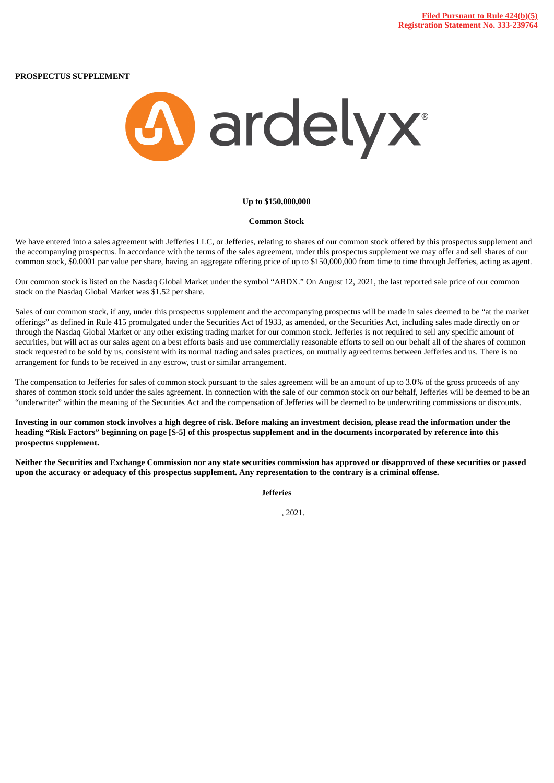**PROSPECTUS SUPPLEMENT**



## **Up to \$150,000,000**

## **Common Stock**

We have entered into a sales agreement with Jefferies LLC, or Jefferies, relating to shares of our common stock offered by this prospectus supplement and the accompanying prospectus. In accordance with the terms of the sales agreement, under this prospectus supplement we may offer and sell shares of our common stock, \$0.0001 par value per share, having an aggregate offering price of up to \$150,000,000 from time to time through Jefferies, acting as agent.

Our common stock is listed on the Nasdaq Global Market under the symbol "ARDX." On August 12, 2021, the last reported sale price of our common stock on the Nasdaq Global Market was \$1.52 per share.

Sales of our common stock, if any, under this prospectus supplement and the accompanying prospectus will be made in sales deemed to be "at the market offerings" as defined in Rule 415 promulgated under the Securities Act of 1933, as amended, or the Securities Act, including sales made directly on or through the Nasdaq Global Market or any other existing trading market for our common stock. Jefferies is not required to sell any specific amount of securities, but will act as our sales agent on a best efforts basis and use commercially reasonable efforts to sell on our behalf all of the shares of common stock requested to be sold by us, consistent with its normal trading and sales practices, on mutually agreed terms between Jefferies and us. There is no arrangement for funds to be received in any escrow, trust or similar arrangement.

The compensation to Jefferies for sales of common stock pursuant to the sales agreement will be an amount of up to 3.0% of the gross proceeds of any shares of common stock sold under the sales agreement. In connection with the sale of our common stock on our behalf, Jefferies will be deemed to be an "underwriter" within the meaning of the Securities Act and the compensation of Jefferies will be deemed to be underwriting commissions or discounts.

Investing in our common stock involves a high degree of risk. Before making an investment decision, please read the information under the heading "Risk Factors" beginning on page [S-5] of this prospectus supplement and in the documents incorporated by reference into this **prospectus supplement.**

Neither the Securities and Exchange Commission nor any state securities commission has approved or disapproved of these securities or passed upon the accuracy or adequacy of this prospectus supplement. Any representation to the contrary is a criminal offense.

**Jefferies**

, 2021.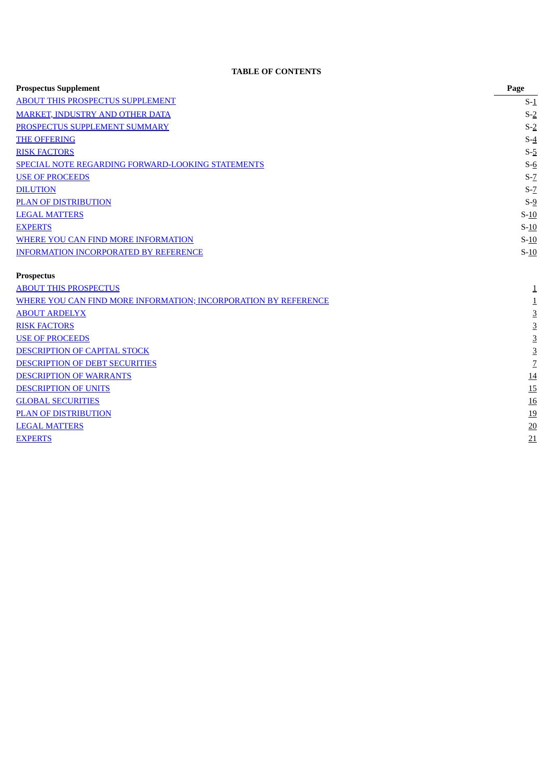# **TABLE OF CONTENTS**

<span id="page-1-0"></span>

| <b>Prospectus Supplement</b>                                           | Page           |
|------------------------------------------------------------------------|----------------|
| <b>ABOUT THIS PROSPECTUS SUPPLEMENT</b>                                | $S-1$          |
| <b>MARKET, INDUSTRY AND OTHER DATA</b>                                 | $S-2$          |
| PROSPECTUS SUPPLEMENT SUMMARY                                          | $S-2$          |
| <b>THE OFFERING</b>                                                    | $S-4$          |
| <b>RISK FACTORS</b>                                                    | $S-5$          |
| SPECIAL NOTE REGARDING FORWARD-LOOKING STATEMENTS                      | $S-6$          |
| <b>USE OF PROCEEDS</b>                                                 | $S-Z$          |
| <b>DILUTION</b>                                                        | $S-Z$          |
| <b>PLAN OF DISTRIBUTION</b>                                            | $S-9$          |
| <b>LEGAL MATTERS</b>                                                   | $S-10$         |
| <b>EXPERTS</b>                                                         | $S-10$         |
| <b>WHERE YOU CAN FIND MORE INFORMATION</b>                             | $S-10$         |
| <b>INFORMATION INCORPORATED BY REFERENCE</b>                           | $S-10$         |
| <b>Prospectus</b>                                                      |                |
| <b>ABOUT THIS PROSPECTUS</b>                                           | $\mathbf 1$    |
| <u>WHERE YOU CAN FIND MORE INFORMATION; INCORPORATION BY REFERENCE</u> | $\mathbf{1}$   |
| <b>ABOUT ARDELYX</b>                                                   | $\overline{3}$ |
| <b>RISK FACTORS</b>                                                    | $\overline{3}$ |
| <b>USE OF PROCEEDS</b>                                                 | $\overline{3}$ |
| <b>DESCRIPTION OF CAPITAL STOCK</b>                                    | $\overline{3}$ |
| DESCRIPTION OF DEBT SECURITIES                                         | $\overline{Z}$ |
| <b>DESCRIPTION OF WARRANTS</b>                                         | 14             |
| <b>DESCRIPTION OF UNITS</b>                                            | 15             |
| <b>GLOBAL SECURITIES</b>                                               | <b>16</b>      |
| <b>PLAN OF DISTRIBUTION</b>                                            | <u>19</u>      |
| <b>LEGAL MATTERS</b>                                                   | 20             |
| <b>EXPERTS</b>                                                         | 21             |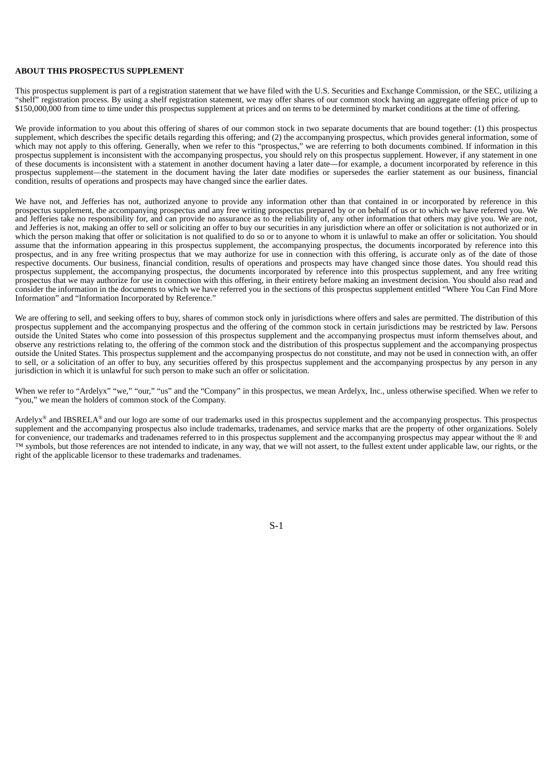## **ABOUT THIS PROSPECTUS SUPPLEMENT**

This prospectus supplement is part of a registration statement that we have filed with the U.S. Securities and Exchange Commission, or the SEC, utilizing a "shelf" registration process. By using a shelf registration statement, we may offer shares of our common stock having an aggregate offering price of up to \$150,000,000 from time to time under this prospectus supplement at prices and on terms to be determined by market conditions at the time of offering.

We provide information to you about this offering of shares of our common stock in two separate documents that are bound together: (1) this prospectus supplement, which describes the specific details regarding this offering; and (2) the accompanying prospectus, which provides general information, some of which may not apply to this offering. Generally, when we refer to this "prospectus," we are referring to both documents combined. If information in this prospectus supplement is inconsistent with the accompanying prospectus, you should rely on this prospectus supplement. However, if any statement in one of these documents is inconsistent with a statement in another document having a later date—for example, a document incorporated by reference in this prospectus supplement—the statement in the document having the later date modifies or supersedes the earlier statement as our business, financial condition, results of operations and prospects may have changed since the earlier dates.

We have not, and Jefferies has not, authorized anyone to provide any information other than that contained in or incorporated by reference in this prospectus supplement, the accompanying prospectus and any free writing prospectus prepared by or on behalf of us or to which we have referred you. We and Jefferies take no responsibility for, and can provide no assurance as to the reliability of, any other information that others may give you. We are not, and Jefferies is not, making an offer to sell or soliciting an offer to buy our securities in any jurisdiction where an offer or solicitation is not authorized or in which the person making that offer or solicitation is not qualified to do so or to anyone to whom it is unlawful to make an offer or solicitation. You should assume that the information appearing in this prospectus supplement, the accompanying prospectus, the documents incorporated by reference into this prospectus, and in any free writing prospectus that we may authorize for use in connection with this offering, is accurate only as of the date of those respective documents. Our business, financial condition, results of operations and prospects may have changed since those dates. You should read this prospectus supplement, the accompanying prospectus, the documents incorporated by reference into this prospectus supplement, and any free writing prospectus that we may authorize for use in connection with this offering, in their entirety before making an investment decision. You should also read and consider the information in the documents to which we have referred you in the sections of this prospectus supplement entitled "Where You Can Find More Information" and "Information Incorporated by Reference."

We are offering to sell, and seeking offers to buy, shares of common stock only in jurisdictions where offers and sales are permitted. The distribution of this prospectus supplement and the accompanying prospectus and the offering of the common stock in certain jurisdictions may be restricted by law. Persons outside the United States who come into possession of this prospectus supplement and the accompanying prospectus must inform themselves about, and observe any restrictions relating to, the offering of the common stock and the distribution of this prospectus supplement and the accompanying prospectus outside the United States. This prospectus supplement and the accompanying prospectus do not constitute, and may not be used in connection with, an offer to sell, or a solicitation of an offer to buy, any securities offered by this prospectus supplement and the accompanying prospectus by any person in any jurisdiction in which it is unlawful for such person to make such an offer or solicitation.

When we refer to "Ardelyx" "we," "our," "us" and the "Company" in this prospectus, we mean Ardelyx, Inc., unless otherwise specified. When we refer to "you," we mean the holders of common stock of the Company.

<span id="page-2-0"></span>Ardelyx<sup>®</sup> and IBSRELA® and our logo are some of our trademarks used in this prospectus supplement and the accompanying prospectus. This prospectus supplement and the accompanying prospectus also include trademarks, tradenames, and service marks that are the property of other organizations. Solely for convenience, our trademarks and tradenames referred to in this prospectus supplement and the accompanying prospectus may appear without the ® and ™ symbols, but those references are not intended to indicate, in any way, that we will not assert, to the fullest extent under applicable law, our rights, or the right of the applicable licensor to these trademarks and tradenames.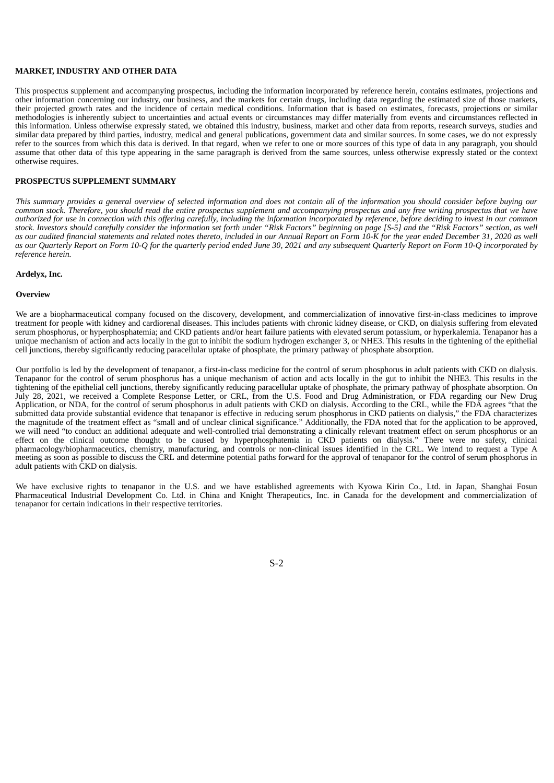## **MARKET, INDUSTRY AND OTHER DATA**

This prospectus supplement and accompanying prospectus, including the information incorporated by reference herein, contains estimates, projections and other information concerning our industry, our business, and the markets for certain drugs, including data regarding the estimated size of those markets, their projected growth rates and the incidence of certain medical conditions. Information that is based on estimates, forecasts, projections or similar methodologies is inherently subject to uncertainties and actual events or circumstances may differ materially from events and circumstances reflected in this information. Unless otherwise expressly stated, we obtained this industry, business, market and other data from reports, research surveys, studies and similar data prepared by third parties, industry, medical and general publications, government data and similar sources. In some cases, we do not expressly refer to the sources from which this data is derived. In that regard, when we refer to one or more sources of this type of data in any paragraph, you should assume that other data of this type appearing in the same paragraph is derived from the same sources, unless otherwise expressly stated or the context otherwise requires.

# <span id="page-3-0"></span>**PROSPECTUS SUPPLEMENT SUMMARY**

This summary provides a general overview of selected information and does not contain all of the information you should consider before buying our common stock. Therefore, you should read the entire prospectus supplement and accompanying prospectus and any free writing prospectus that we have authorized for use in connection with this offering carefully, including the information incorporated by reference, before deciding to invest in our common stock. Investors should carefully consider the information set forth under "Risk Factors" beginning on page [S-5] and the "Risk Factors" section, as well as our audited financial statements and related notes thereto, included in our Annual Report on Form 10-K for the year ended December 31, 2020 as well as our Quarterly Report on Form 10-Q for the quarterly period ended June 30, 2021 and any subsequent Quarterly Report on Form 10-Q incorporated by *reference herein.*

#### **Ardelyx, Inc.**

#### **Overview**

We are a biopharmaceutical company focused on the discovery, development, and commercialization of innovative first-in-class medicines to improve treatment for people with kidney and cardiorenal diseases. This includes patients with chronic kidney disease, or CKD, on dialysis suffering from elevated serum phosphorus, or hyperphosphatemia; and CKD patients and/or heart failure patients with elevated serum potassium, or hyperkalemia. Tenapanor has a unique mechanism of action and acts locally in the gut to inhibit the sodium hydrogen exchanger 3, or NHE3. This results in the tightening of the epithelial cell junctions, thereby significantly reducing paracellular uptake of phosphate, the primary pathway of phosphate absorption.

Our portfolio is led by the development of tenapanor, a first-in-class medicine for the control of serum phosphorus in adult patients with CKD on dialysis. Tenapanor for the control of serum phosphorus has a unique mechanism of action and acts locally in the gut to inhibit the NHE3. This results in the tightening of the epithelial cell junctions, thereby significantly reducing paracellular uptake of phosphate, the primary pathway of phosphate absorption. On July 28, 2021, we received a Complete Response Letter, or CRL, from the U.S. Food and Drug Administration, or FDA regarding our New Drug Application, or NDA, for the control of serum phosphorus in adult patients with CKD on dialysis. According to the CRL, while the FDA agrees "that the submitted data provide substantial evidence that tenapanor is effective in reducing serum phosphorus in CKD patients on dialysis," the FDA characterizes the magnitude of the treatment effect as "small and of unclear clinical significance." Additionally, the FDA noted that for the application to be approved, we will need "to conduct an additional adequate and well-controlled trial demonstrating a clinically relevant treatment effect on serum phosphorus or an effect on the clinical outcome thought to be caused by hyperphosphatemia in CKD patients on dialysis." There were no safety, clinical pharmacology/biopharmaceutics, chemistry, manufacturing, and controls or non-clinical issues identified in the CRL. We intend to request a Type A meeting as soon as possible to discuss the CRL and determine potential paths forward for the approval of tenapanor for the control of serum phosphorus in adult patients with CKD on dialysis.

We have exclusive rights to tenapanor in the U.S. and we have established agreements with Kyowa Kirin Co., Ltd. in Japan, Shanghai Fosun Pharmaceutical Industrial Development Co. Ltd. in China and Knight Therapeutics, Inc. in Canada for the development and commercialization of tenapanor for certain indications in their respective territories.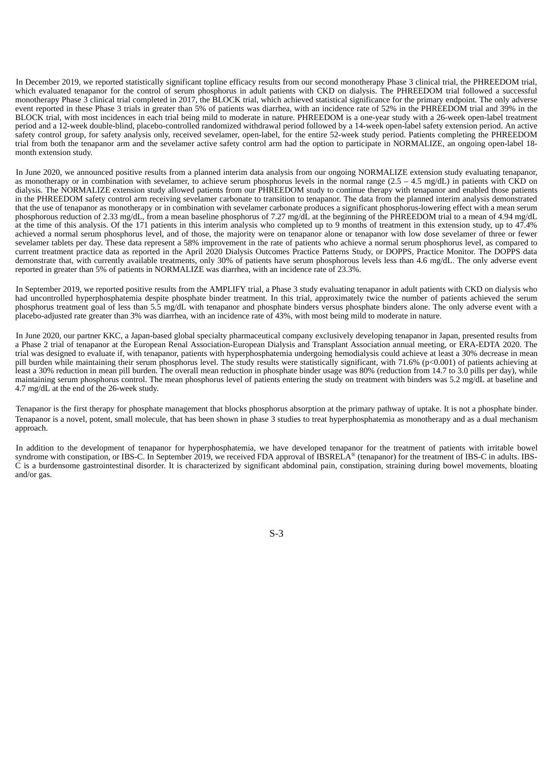In December 2019, we reported statistically significant topline efficacy results from our second monotherapy Phase 3 clinical trial, the PHREEDOM trial, which evaluated tenapanor for the control of serum phosphorus in adult patients with CKD on dialysis. The PHREEDOM trial followed a successful monotherapy Phase 3 clinical trial completed in 2017, the BLOCK trial, which achieved statistical significance for the primary endpoint. The only adverse event reported in these Phase 3 trials in greater than 5% of patients was diarrhea, with an incidence rate of 52% in the PHREEDOM trial and 39% in the BLOCK trial, with most incidences in each trial being mild to moderate in nature. PHREEDOM is a one-year study with a 26-week open-label treatment period and a 12-week double-blind, placebo-controlled randomized withdrawal period followed by a 14-week open-label safety extension period. An active safety control group, for safety analysis only, received sevelamer, open-label, for the entire 52-week study period. Patients completing the PHREEDOM trial from both the tenapanor arm and the sevelamer active safety control arm had the option to participate in NORMALIZE, an ongoing open-label 18 month extension study.

In June 2020, we announced positive results from a planned interim data analysis from our ongoing NORMALIZE extension study evaluating tenapanor, as monotherapy or in combination with sevelamer, to achieve serum phosphorus levels in the normal range  $(2.5 - 4.5 \text{ mg/dL})$  in patients with CKD on dialysis. The NORMALIZE extension study allowed patients from our PHREEDOM study to continue therapy with tenapanor and enabled those patients in the PHREEDOM safety control arm receiving sevelamer carbonate to transition to tenapanor. The data from the planned interim analysis demonstrated that the use of tenapanor as monotherapy or in combination with sevelamer carbonate produces a significant phosphorus-lowering effect with a mean serum phosphorous reduction of 2.33 mg/dL, from a mean baseline phosphorus of 7.27 mg/dL at the beginning of the PHREEDOM trial to a mean of 4.94 mg/dL at the time of this analysis. Of the 171 patients in this interim analysis who completed up to 9 months of treatment in this extension study, up to 47.4% achieved a normal serum phosphorus level, and of those, the majority were on tenapanor alone or tenapanor with low dose sevelamer of three or fewer sevelamer tablets per day. These data represent a 58% improvement in the rate of patients who achieve a normal serum phosphorus level, as compared to current treatment practice data as reported in the April 2020 Dialysis Outcomes Practice Patterns Study, or DOPPS, Practice Monitor. The DOPPS data demonstrate that, with currently available treatments, only 30% of patients have serum phosphorous levels less than 4.6 mg/dL. The only adverse event reported in greater than 5% of patients in NORMALIZE was diarrhea, with an incidence rate of 23.3%.

In September 2019, we reported positive results from the AMPLIFY trial, a Phase 3 study evaluating tenapanor in adult patients with CKD on dialysis who had uncontrolled hyperphosphatemia despite phosphate binder treatment. In this trial, approximately twice the number of patients achieved the serum phosphorus treatment goal of less than 5.5 mg/dL with tenapanor and phosphate binders versus phosphate binders alone. The only adverse event with a placebo-adjusted rate greater than 3% was diarrhea, with an incidence rate of 43%, with most being mild to moderate in nature.

In June 2020, our partner KKC, a Japan-based global specialty pharmaceutical company exclusively developing tenapanor in Japan, presented results from a Phase 2 trial of tenapanor at the European Renal Association-European Dialysis and Transplant Association annual meeting, or ERA-EDTA 2020. The trial was designed to evaluate if, with tenapanor, patients with hyperphosphatemia undergoing hemodialysis could achieve at least a 30% decrease in mean pill burden while maintaining their serum phosphorus level. The study results were statistically significant, with 71.6% (p<0.001) of patients achieving at least a 30% reduction in mean pill burden. The overall mean reduction in phosphate binder usage was 80% (reduction from 14.7 to 3.0 pills per day), while maintaining serum phosphorus control. The mean phosphorus level of patients entering the study on treatment with binders was 5.2 mg/dL at baseline and 4.7 mg/dL at the end of the 26-week study.

Tenapanor is the first therapy for phosphate management that blocks phosphorus absorption at the primary pathway of uptake. It is not a phosphate binder. Tenapanor is a novel, potent, small molecule, that has been shown in phase 3 studies to treat hyperphosphatemia as monotherapy and as a dual mechanism approach.

In addition to the development of tenapanor for hyperphosphatemia, we have developed tenapanor for the treatment of patients with irritable bowel syndrome with constipation, or IBS-C. In September 2019, we received FDA approval of IBSRELA® (tenapanor) for the treatment of IBS-C in adults. IBS- $\check{C}$  is a burdensome gastrointestinal disorder. It is characterized by significant abdominal pain, constipation, straining during bowel movements, bloating and/or gas.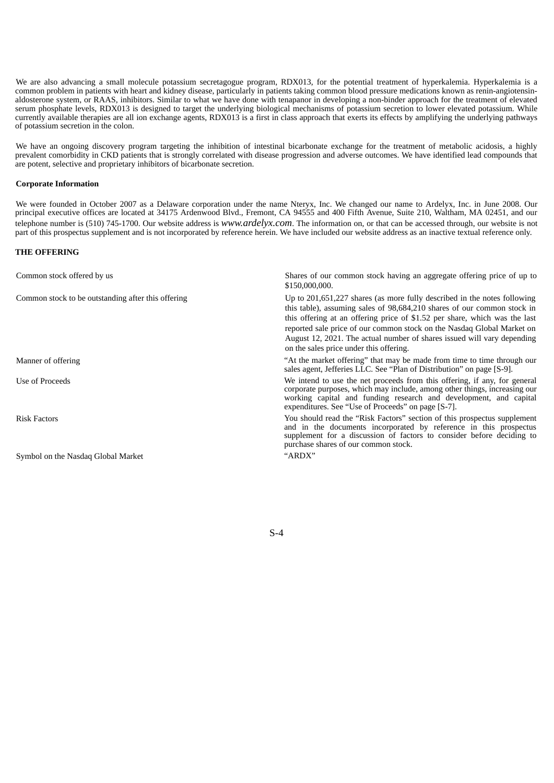We are also advancing a small molecule potassium secretagogue program, RDX013, for the potential treatment of hyperkalemia. Hyperkalemia is a common problem in patients with heart and kidney disease, particularly in patients taking common blood pressure medications known as renin-angiotensinaldosterone system, or RAAS, inhibitors. Similar to what we have done with tenapanor in developing a non-binder approach for the treatment of elevated serum phosphate levels, RDX013 is designed to target the underlying biological mechanisms of potassium secretion to lower elevated potassium. While currently available therapies are all ion exchange agents, RDX013 is a first in class approach that exerts its effects by amplifying the underlying pathways of potassium secretion in the colon.

We have an ongoing discovery program targeting the inhibition of intestinal bicarbonate exchange for the treatment of metabolic acidosis, a highly prevalent comorbidity in CKD patients that is strongly correlated with disease progression and adverse outcomes. We have identified lead compounds that are potent, selective and proprietary inhibitors of bicarbonate secretion.

## **Corporate Information**

We were founded in October 2007 as a Delaware corporation under the name Nteryx, Inc. We changed our name to Ardelyx, Inc. in June 2008. Our principal executive offices are located at 34175 Ardenwood Blvd., Fremont, CA 94555 and 400 Fifth Avenue, Suite 210, Waltham, MA 02451, and our telephone number is (510) 745-1700. Our website address is *www.ardelyx.com*. The information on, or that can be accessed through, our website is not part of this prospectus supplement and is not incorporated by reference herein. We have included our website address as an inactive textual reference only.

# <span id="page-5-0"></span>**THE OFFERING**

| Common stock offered by us                         | Shares of our common stock having an aggregate offering price of up to<br>\$150,000,000.                                                                                                                                                                                                                                                                                                                                            |
|----------------------------------------------------|-------------------------------------------------------------------------------------------------------------------------------------------------------------------------------------------------------------------------------------------------------------------------------------------------------------------------------------------------------------------------------------------------------------------------------------|
| Common stock to be outstanding after this offering | Up to $201,651,227$ shares (as more fully described in the notes following<br>this table), assuming sales of 98,684,210 shares of our common stock in<br>this offering at an offering price of \$1.52 per share, which was the last<br>reported sale price of our common stock on the Nasdaq Global Market on<br>August 12, 2021. The actual number of shares issued will vary depending<br>on the sales price under this offering. |
| Manner of offering                                 | "At the market offering" that may be made from time to time through our<br>sales agent, Jefferies LLC. See "Plan of Distribution" on page [S-9].                                                                                                                                                                                                                                                                                    |
| Use of Proceeds                                    | We intend to use the net proceeds from this offering, if any, for general<br>corporate purposes, which may include, among other things, increasing our<br>working capital and funding research and development, and capital<br>expenditures. See "Use of Proceeds" on page [S-7].                                                                                                                                                   |
| <b>Risk Factors</b>                                | You should read the "Risk Factors" section of this prospectus supplement<br>and in the documents incorporated by reference in this prospectus<br>supplement for a discussion of factors to consider before deciding to<br>purchase shares of our common stock.                                                                                                                                                                      |
| Symbol on the Nasdaq Global Market                 | "ARDX"                                                                                                                                                                                                                                                                                                                                                                                                                              |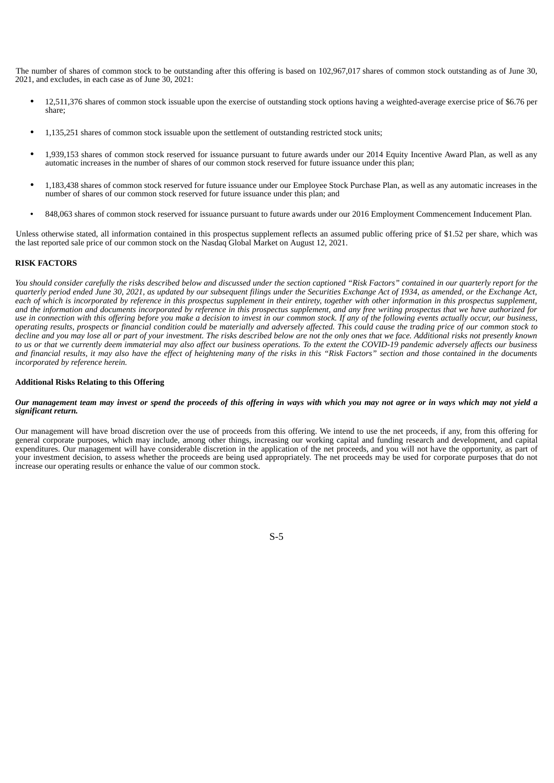The number of shares of common stock to be outstanding after this offering is based on 102,967,017 shares of common stock outstanding as of June 30, 2021, and excludes, in each case as of June 30, 2021:

- 12,511,376 shares of common stock issuable upon the exercise of outstanding stock options having a weighted-average exercise price of \$6.76 per share;
- 1,135,251 shares of common stock issuable upon the settlement of outstanding restricted stock units;
- 1,939,153 shares of common stock reserved for issuance pursuant to future awards under our 2014 Equity Incentive Award Plan, as well as any automatic increases in the number of shares of our common stock reserved for future issuance under this plan;
- 1,183,438 shares of common stock reserved for future issuance under our Employee Stock Purchase Plan, as well as any automatic increases in the number of shares of our common stock reserved for future issuance under this plan; and
- 848,063 shares of common stock reserved for issuance pursuant to future awards under our 2016 Employment Commencement Inducement Plan.

Unless otherwise stated, all information contained in this prospectus supplement reflects an assumed public offering price of \$1.52 per share, which was the last reported sale price of our common stock on the Nasdaq Global Market on August 12, 2021.

# <span id="page-6-0"></span>**RISK FACTORS**

You should consider carefully the risks described below and discussed under the section captioned "Risk Factors" contained in our quarterly report for the quarterly period ended June 30, 2021, as updated by our subsequent filings under the Securities Exchange Act of 1934, as amended, or the Exchange Act, each of which is incorporated by reference in this prospectus supplement in their entirety, together with other information in this prospectus supplement, and the information and documents incorporated by reference in this prospectus supplement, and any free writing prospectus that we have authorized for use in connection with this offering before you make a decision to invest in our common stock. If any of the following events actually occur, our business, operating results, prospects or financial condition could be materially and adversely affected. This could cause the trading price of our common stock to decline and you may lose all or part of your investment. The risks described below are not the only ones that we face. Additional risks not presently known to us or that we currently deem immaterial may also affect our business operations. To the extent the COVID-19 pandemic adversely affects our business and financial results, it may also have the effect of heightening many of the risks in this "Risk Factors" section and those contained in the documents *incorporated by reference herein.*

# **Additional Risks Relating to this Offering**

## Our management team may invest or spend the proceeds of this offering in ways with which you may not agree or in ways which may not yield a *significant return.*

Our management will have broad discretion over the use of proceeds from this offering. We intend to use the net proceeds, if any, from this offering for general corporate purposes, which may include, among other things, increasing our working capital and funding research and development, and capital expenditures. Our management will have considerable discretion in the application of the net proceeds, and you will not have the opportunity, as part of your investment decision, to assess whether the proceeds are being used appropriately. The net proceeds may be used for corporate purposes that do not increase our operating results or enhance the value of our common stock.

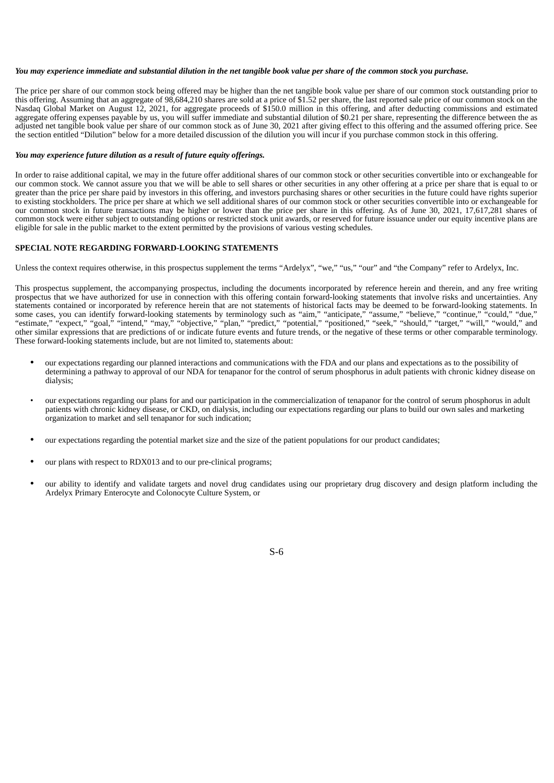## You may experience immediate and substantial dilution in the net tangible book value per share of the common stock you purchase.

The price per share of our common stock being offered may be higher than the net tangible book value per share of our common stock outstanding prior to this offering. Assuming that an aggregate of 98,684,210 shares are sold at a price of \$1.52 per share, the last reported sale price of our common stock on the Nasdaq Global Market on August 12, 2021, for aggregate proceeds of \$150.0 million in this offering, and after deducting commissions and estimated aggregate offering expenses payable by us, you will suffer immediate and substantial dilution of \$0.21 per share, representing the difference between the as adjusted net tangible book value per share of our common stock as of June 30, 2021 after giving effect to this offering and the assumed offering price. See the section entitled "Dilution" below for a more detailed discussion of the dilution you will incur if you purchase common stock in this offering.

#### *You may experience future dilution as a result of future equity offerings.*

In order to raise additional capital, we may in the future offer additional shares of our common stock or other securities convertible into or exchangeable for our common stock. We cannot assure you that we will be able to sell shares or other securities in any other offering at a price per share that is equal to or greater than the price per share paid by investors in this offering, and investors purchasing shares or other securities in the future could have rights superior to existing stockholders. The price per share at which we sell additional shares of our common stock or other securities convertible into or exchangeable for our common stock in future transactions may be higher or lower than the price per share in this offering. As of June 30, 2021, 17,617,281 shares of common stock were either subject to outstanding options or restricted stock unit awards, or reserved for future issuance under our equity incentive plans are eligible for sale in the public market to the extent permitted by the provisions of various vesting schedules.

## <span id="page-7-0"></span>**SPECIAL NOTE REGARDING FORWARD-LOOKING STATEMENTS**

Unless the context requires otherwise, in this prospectus supplement the terms "Ardelyx", "we," "us," "our" and "the Company" refer to Ardelyx, Inc.

This prospectus supplement, the accompanying prospectus, including the documents incorporated by reference herein and therein, and any free writing prospectus that we have authorized for use in connection with this offering contain forward-looking statements that involve risks and uncertainties. Any statements contained or incorporated by reference herein that are not statements of historical facts may be deemed to be forward-looking statements. In some cases, you can identify forward-looking statements by terminology such as "aim," "anticipate," "assume," "believe," "continue," "could," "due," "estimate," "expect," "goal," "intend," "may," "objective," "plan," "predict," "potential," "positioned," "seek," "should," "target," "will," "would," and other similar expressions that are predictions of or indicate future events and future trends, or the negative of these terms or other comparable terminology. These forward-looking statements include, but are not limited to, statements about:

- our expectations regarding our planned interactions and communications with the FDA and our plans and expectations as to the possibility of determining a pathway to approval of our NDA for tenapanor for the control of serum phosphorus in adult patients with chronic kidney disease on dialysis;
- our expectations regarding our plans for and our participation in the commercialization of tenapanor for the control of serum phosphorus in adult patients with chronic kidney disease, or CKD, on dialysis, including our expectations regarding our plans to build our own sales and marketing organization to market and sell tenapanor for such indication;
- our expectations regarding the potential market size and the size of the patient populations for our product candidates;
- our plans with respect to RDX013 and to our pre-clinical programs;
- our ability to identify and validate targets and novel drug candidates using our proprietary drug discovery and design platform including the Ardelyx Primary Enterocyte and Colonocyte Culture System, or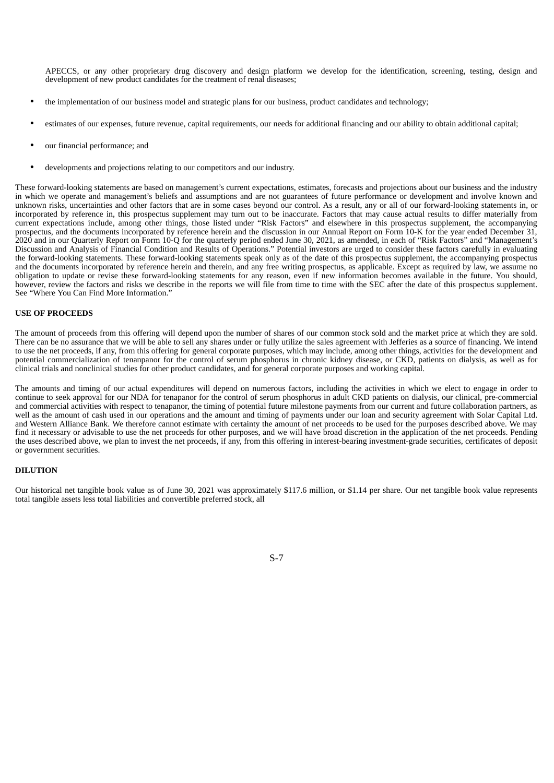APECCS, or any other proprietary drug discovery and design platform we develop for the identification, screening, testing, design and development of new product candidates for the treatment of renal diseases;

- the implementation of our business model and strategic plans for our business, product candidates and technology;
- estimates of our expenses, future revenue, capital requirements, our needs for additional financing and our ability to obtain additional capital;
- our financial performance; and
- developments and projections relating to our competitors and our industry.

These forward-looking statements are based on management's current expectations, estimates, forecasts and projections about our business and the industry in which we operate and management's beliefs and assumptions and are not guarantees of future performance or development and involve known and unknown risks, uncertainties and other factors that are in some cases beyond our control. As a result, any or all of our forward-looking statements in, or incorporated by reference in, this prospectus supplement may turn out to be inaccurate. Factors that may cause actual results to differ materially from current expectations include, among other things, those listed under "Risk Factors" and elsewhere in this prospectus supplement, the accompanying prospectus, and the documents incorporated by reference herein and the discussion in our Annual Report on Form 10-K for the year ended December 31, 2020 and in our Quarterly Report on Form 10-Q for the quarterly period ended June 30, 2021, as amended, in each of "Risk Factors" and "Management's Discussion and Analysis of Financial Condition and Results of Operations." Potential investors are urged to consider these factors carefully in evaluating the forward-looking statements. These forward-looking statements speak only as of the date of this prospectus supplement, the accompanying prospectus and the documents incorporated by reference herein and therein, and any free writing prospectus, as applicable. Except as required by law, we assume no obligation to update or revise these forward-looking statements for any reason, even if new information becomes available in the future. You should, however, review the factors and risks we describe in the reports we will file from time to time with the SEC after the date of this prospectus supplement. See "Where You Can Find More Information."

# <span id="page-8-0"></span>**USE OF PROCEEDS**

The amount of proceeds from this offering will depend upon the number of shares of our common stock sold and the market price at which they are sold. There can be no assurance that we will be able to sell any shares under or fully utilize the sales agreement with Jefferies as a source of financing. We intend to use the net proceeds, if any, from this offering for general corporate purposes, which may include, among other things, activities for the development and potential commercialization of tenanpanor for the control of serum phosphorus in chronic kidney disease, or CKD, patients on dialysis, as well as for clinical trials and nonclinical studies for other product candidates, and for general corporate purposes and working capital.

The amounts and timing of our actual expenditures will depend on numerous factors, including the activities in which we elect to engage in order to continue to seek approval for our NDA for tenapanor for the control of serum phosphorus in adult CKD patients on dialysis, our clinical, pre-commercial and commercial activities with respect to tenapanor, the timing of potential future milestone payments from our current and future collaboration partners, as well as the amount of cash used in our operations and the amount and timing of payments under our loan and security agreement with Solar Capital Ltd. and Western Alliance Bank. We therefore cannot estimate with certainty the amount of net proceeds to be used for the purposes described above. We may find it necessary or advisable to use the net proceeds for other purposes, and we will have broad discretion in the application of the net proceeds. Pending the uses described above, we plan to invest the net proceeds, if any, from this offering in interest-bearing investment-grade securities, certificates of deposit or government securities.

## <span id="page-8-1"></span>**DILUTION**

Our historical net tangible book value as of June 30, 2021 was approximately \$117.6 million, or \$1.14 per share. Our net tangible book value represents total tangible assets less total liabilities and convertible preferred stock, all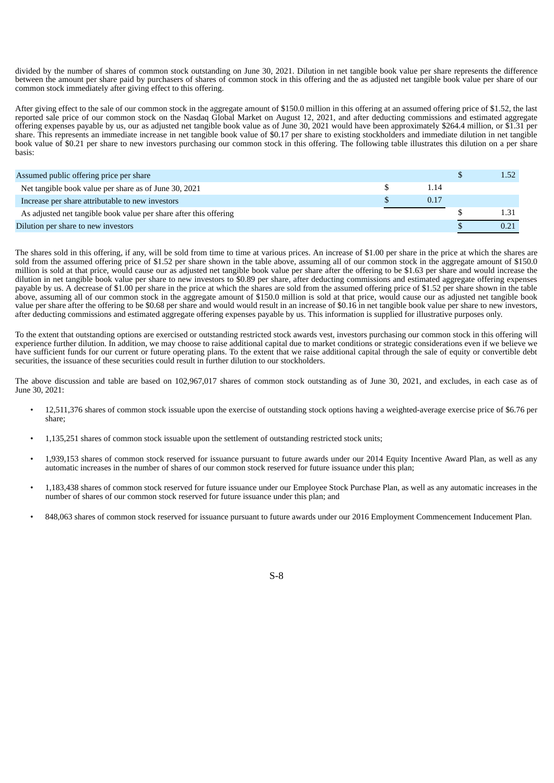divided by the number of shares of common stock outstanding on June 30, 2021. Dilution in net tangible book value per share represents the difference between the amount per share paid by purchasers of shares of common stock in this offering and the as adjusted net tangible book value per share of our common stock immediately after giving effect to this offering.

After giving effect to the sale of our common stock in the aggregate amount of \$150.0 million in this offering at an assumed offering price of \$1.52, the last reported sale price of our common stock on the Nasdaq Global Market on August 12, 2021, and after deducting commissions and estimated aggregate offering expenses payable by us, our as adjusted net tangible book value as of June 30, 2021 would have been approximately \$264.4 million, or \$1.31 per share. This represents an immediate increase in net tangible book value of \$0.17 per share to existing stockholders and immediate dilution in net tangible book value of \$0.21 per share to new investors purchasing our common stock in this offering. The following table illustrates this dilution on a per share basis:

| Assumed public offering price per share                           |      |  |
|-------------------------------------------------------------------|------|--|
| Net tangible book value per share as of June 30, 2021             | 1.14 |  |
| Increase per share attributable to new investors                  | 0.17 |  |
| As adjusted net tangible book value per share after this offering |      |  |
| Dilution per share to new investors                               |      |  |

The shares sold in this offering, if any, will be sold from time to time at various prices. An increase of \$1.00 per share in the price at which the shares are sold from the assumed offering price of \$1.52 per share shown in the table above, assuming all of our common stock in the aggregate amount of \$150.0 million is sold at that price, would cause our as adjusted net tangible book value per share after the offering to be \$1.63 per share and would increase the dilution in net tangible book value per share to new investors to \$0.89 per share, after deducting commissions and estimated aggregate offering expenses payable by us. A decrease of \$1.00 per share in the price at which the shares are sold from the assumed offering price of \$1.52 per share shown in the table above, assuming all of our common stock in the aggregate amount of \$150.0 million is sold at that price, would cause our as adjusted net tangible book value per share after the offering to be \$0.68 per share and would would result in an increase of \$0.16 in net tangible book value per share to new investors, after deducting commissions and estimated aggregate offering expenses payable by us. This information is supplied for illustrative purposes only.

To the extent that outstanding options are exercised or outstanding restricted stock awards vest, investors purchasing our common stock in this offering will experience further dilution. In addition, we may choose to raise additional capital due to market conditions or strategic considerations even if we believe we have sufficient funds for our current or future operating plans. To the extent that we raise additional capital through the sale of equity or convertible debt securities, the issuance of these securities could result in further dilution to our stockholders.

The above discussion and table are based on 102,967,017 shares of common stock outstanding as of June 30, 2021, and excludes, in each case as of June 30, 2021:

- 12,511,376 shares of common stock issuable upon the exercise of outstanding stock options having a weighted-average exercise price of \$6.76 per share;
- 1,135,251 shares of common stock issuable upon the settlement of outstanding restricted stock units;
- 1,939,153 shares of common stock reserved for issuance pursuant to future awards under our 2014 Equity Incentive Award Plan, as well as any automatic increases in the number of shares of our common stock reserved for future issuance under this plan;
- 1,183,438 shares of common stock reserved for future issuance under our Employee Stock Purchase Plan, as well as any automatic increases in the number of shares of our common stock reserved for future issuance under this plan; and
- 848,063 shares of common stock reserved for issuance pursuant to future awards under our 2016 Employment Commencement Inducement Plan.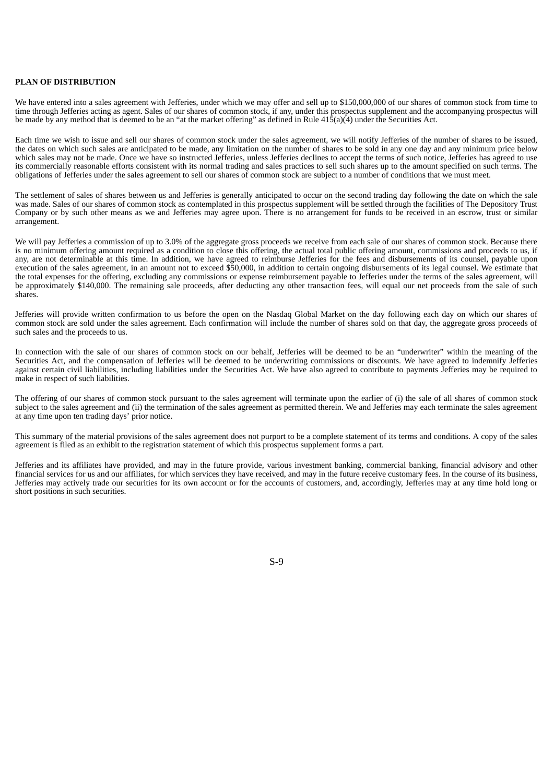# <span id="page-10-0"></span>**PLAN OF DISTRIBUTION**

We have entered into a sales agreement with Jefferies, under which we may offer and sell up to \$150,000,000 of our shares of common stock from time to time through Jefferies acting as agent. Sales of our shares of common stock, if any, under this prospectus supplement and the accompanying prospectus will be made by any method that is deemed to be an "at the market offering" as defined in Rule 415(a)(4) under the Securities Act.

Each time we wish to issue and sell our shares of common stock under the sales agreement, we will notify Jefferies of the number of shares to be issued, the dates on which such sales are anticipated to be made, any limitation on the number of shares to be sold in any one day and any minimum price below which sales may not be made. Once we have so instructed Jefferies, unless Jefferies declines to accept the terms of such notice, Jefferies has agreed to use its commercially reasonable efforts consistent with its normal trading and sales practices to sell such shares up to the amount specified on such terms. The obligations of Jefferies under the sales agreement to sell our shares of common stock are subject to a number of conditions that we must meet.

The settlement of sales of shares between us and Jefferies is generally anticipated to occur on the second trading day following the date on which the sale was made. Sales of our shares of common stock as contemplated in this prospectus supplement will be settled through the facilities of The Depository Trust Company or by such other means as we and Jefferies may agree upon. There is no arrangement for funds to be received in an escrow, trust or similar arrangement.

We will pay Jefferies a commission of up to 3.0% of the aggregate gross proceeds we receive from each sale of our shares of common stock. Because there is no minimum offering amount required as a condition to close this offering, the actual total public offering amount, commissions and proceeds to us, if any, are not determinable at this time. In addition, we have agreed to reimburse Jefferies for the fees and disbursements of its counsel, payable upon execution of the sales agreement, in an amount not to exceed \$50,000, in addition to certain ongoing disbursements of its legal counsel. We estimate that the total expenses for the offering, excluding any commissions or expense reimbursement payable to Jefferies under the terms of the sales agreement, will be approximately \$140,000. The remaining sale proceeds, after deducting any other transaction fees, will equal our net proceeds from the sale of such shares.

Jefferies will provide written confirmation to us before the open on the Nasdaq Global Market on the day following each day on which our shares of common stock are sold under the sales agreement. Each confirmation will include the number of shares sold on that day, the aggregate gross proceeds of such sales and the proceeds to us.

In connection with the sale of our shares of common stock on our behalf, Jefferies will be deemed to be an "underwriter" within the meaning of the Securities Act, and the compensation of Jefferies will be deemed to be underwriting commissions or discounts. We have agreed to indemnify Jefferies against certain civil liabilities, including liabilities under the Securities Act. We have also agreed to contribute to payments Jefferies may be required to make in respect of such liabilities.

The offering of our shares of common stock pursuant to the sales agreement will terminate upon the earlier of (i) the sale of all shares of common stock subject to the sales agreement and (ii) the termination of the sales agreement as permitted therein. We and Jefferies may each terminate the sales agreement at any time upon ten trading days' prior notice.

This summary of the material provisions of the sales agreement does not purport to be a complete statement of its terms and conditions. A copy of the sales agreement is filed as an exhibit to the registration statement of which this prospectus supplement forms a part.

Jefferies and its affiliates have provided, and may in the future provide, various investment banking, commercial banking, financial advisory and other financial services for us and our affiliates, for which services they have received, and may in the future receive customary fees. In the course of its business, Jefferies may actively trade our securities for its own account or for the accounts of customers, and, accordingly, Jefferies may at any time hold long or short positions in such securities.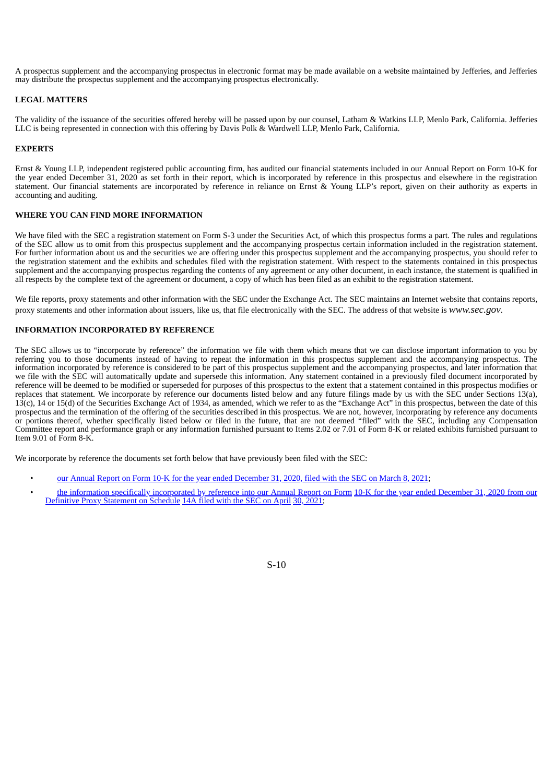A prospectus supplement and the accompanying prospectus in electronic format may be made available on a website maintained by Jefferies, and Jefferies may distribute the prospectus supplement and the accompanying prospectus electronically.

# <span id="page-11-0"></span>**LEGAL MATTERS**

The validity of the issuance of the securities offered hereby will be passed upon by our counsel, Latham & Watkins LLP, Menlo Park, California. Jefferies LLC is being represented in connection with this offering by Davis Polk & Wardwell LLP, Menlo Park, California.

## <span id="page-11-1"></span>**EXPERTS**

Ernst & Young LLP, independent registered public accounting firm, has audited our financial statements included in our Annual Report on Form 10-K for the year ended December 31, 2020 as set forth in their report, which is incorporated by reference in this prospectus and elsewhere in the registration statement. Our financial statements are incorporated by reference in reliance on Ernst & Young LLP's report, given on their authority as experts in accounting and auditing.

# <span id="page-11-2"></span>**WHERE YOU CAN FIND MORE INFORMATION**

We have filed with the SEC a registration statement on Form S-3 under the Securities Act, of which this prospectus forms a part. The rules and regulations of the SEC allow us to omit from this prospectus supplement and the accompanying prospectus certain information included in the registration statement. For further information about us and the securities we are offering under this prospectus supplement and the accompanying prospectus, you should refer to the registration statement and the exhibits and schedules filed with the registration statement. With respect to the statements contained in this prospectus supplement and the accompanying prospectus regarding the contents of any agreement or any other document, in each instance, the statement is qualified in all respects by the complete text of the agreement or document, a copy of which has been filed as an exhibit to the registration statement.

We file reports, proxy statements and other information with the SEC under the Exchange Act. The SEC maintains an Internet website that contains reports, proxy statements and other information about issuers, like us, that file electronically with the SEC. The address of that website is *www.sec.gov*.

# <span id="page-11-3"></span>**INFORMATION INCORPORATED BY REFERENCE**

The SEC allows us to "incorporate by reference" the information we file with them which means that we can disclose important information to you by referring you to those documents instead of having to repeat the information in this prospectus supplement and the accompanying prospectus. The information incorporated by reference is considered to be part of this prospectus supplement and the accompanying prospectus, and later information that we file with the SEC will automatically update and supersede this information. Any statement contained in a previously filed document incorporated by reference will be deemed to be modified or superseded for purposes of this prospectus to the extent that a statement contained in this prospectus modifies or replaces that statement. We incorporate by reference our documents listed below and any future filings made by us with the SEC under Sections 13(a), 13(c), 14 or 15(d) of the Securities Exchange Act of 1934, as amended, which we refer to as the "Exchange Act" in this prospectus, between the date of this prospectus and the termination of the offering of the securities described in this prospectus. We are not, however, incorporating by reference any documents or portions thereof, whether specifically listed below or filed in the future, that are not deemed "filed" with the SEC, including any Compensation Committee report and performance graph or any information furnished pursuant to Items 2.02 or 7.01 of Form 8-K or related exhibits furnished pursuant to Item 9.01 of Form 8-K.

We incorporate by reference the documents set forth below that have previously been filed with the SEC:

- our Annual Report on Form 10-K for the year ended [December](https://www.sec.gov/ix?doc=/Archives/edgar/data/1437402/000155837021002500/ardx-20201231x10k.htm) 31, 2020, filed with the SEC on March 8, 2021;
- the information specifically [incorporated](https://www.sec.gov/Archives/edgar/data/1437402/000114036121015380/nc10023793x1_def14a.htm) by reference into our Annual Report on Form 10-K for the year ended December 31, 2020 from our Definitive Proxy Statement on Schedule 14A filed with the SEC on [April](https://www.sec.gov/Archives/edgar/data/1437402/000114036121015380/nc10023793x1_def14a.htm) 30, [2021](https://www.sec.gov/Archives/edgar/data/1437402/000114036121015380/nc10023793x1_def14a.htm);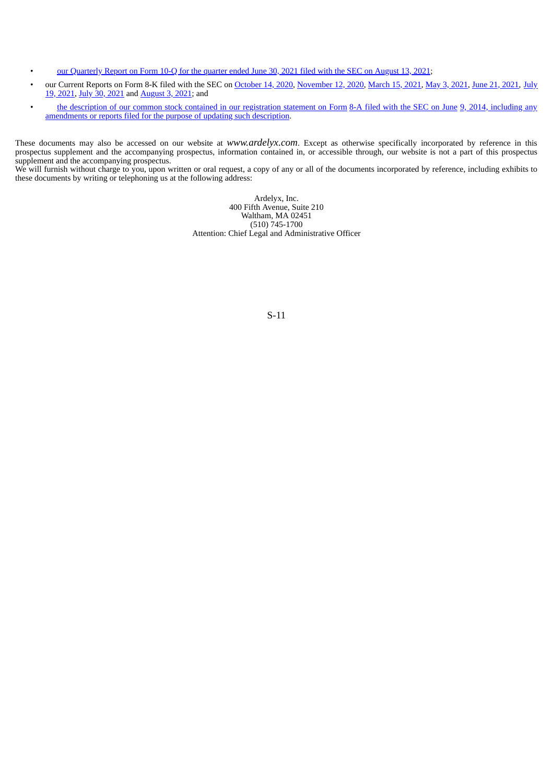- our [Quarterly](http://www.sec.gov/ix?doc=/Archives/edgar/data/1437402/000162828021016912/ardx-20210630.htm) Report on Form 10-Q for the quarter ended June 30, 2021 filed with the SEC on [August](http://www.sec.gov/ix?doc=/Archives/edgar/data/1437402/000162828021016912/ardx-20210630.htm) 13, 2021;
- our Current Reports on Form 8-K filed with the SEC on [October](https://www.sec.gov/ix?doc=/Archives/edgar/data/1437402/000155837020011468/ardx-20201009x8k.htm) 14, 2020, [November](https://www.sec.gov/ix?doc=/Archives/edgar/data/1437402/000155837020013740/ardx-20201112x8k.htm) 12, 2020, [March](https://www.sec.gov/ix?doc=/Archives/edgar/data/1437402/000155837021002966/ardx-20210311x8k.htm) 15, [2021](https://www.sec.gov/ix?doc=/Archives/edgar/data/1437402/000155837021005447/ardx-20210429x8k.htm), May 3, [2021,](https://www.sec.gov/ix?doc=/Archives/edgar/data/1437402/000162828021012532/ardx-20210616.htm) June 21, 2021, July 19, 2021, July 30, [2021](http://www.sec.gov/ix?doc=/Archives/edgar/data/1437402/000162828021014943/ardx-20210728.htm) and [August](http://www.sec.gov/ix?doc=/Archives/edgar/data/1437402/000162828021015215/ardx-20210729.htm) 3, 2021; and
- the description of our common stock contained in our [registration](https://www.sec.gov/Archives/edgar/data/1437402/000119312514230441/d740908d8a12b.htm) statement on Form 8-A filed with the [SEC](https://www.sec.gov/Archives/edgar/data/1437402/000119312514230441/d740908d8a12b.htm) on June 9, 2014, including any [amendments](https://www.sec.gov/Archives/edgar/data/1437402/000119312514230441/d740908d8a12b.htm) or reports filed for the purpose of updating such description.

These documents may also be accessed on our website at *www.ardelyx.com*. Except as otherwise specifically incorporated by reference in this prospectus supplement and the accompanying prospectus, information contained in, or accessible through, our website is not a part of this prospectus supplement and the accompanying prospectus.

We will furnish without charge to you, upon written or oral request, a copy of any or all of the documents incorporated by reference, including exhibits to these documents by writing or telephoning us at the following address:

> Ardelyx, Inc. 400 Fifth Avenue, Suite 210 Waltham, MA 02451 (510) 745-1700 Attention: Chief Legal and Administrative Officer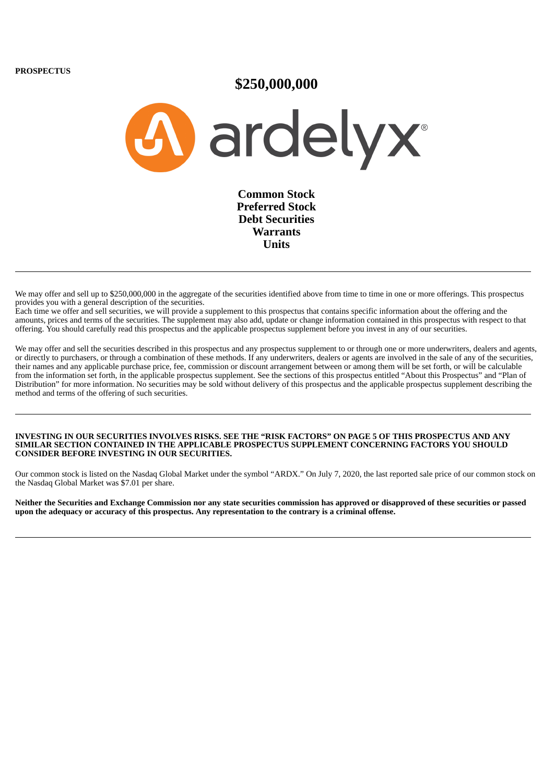**PROSPECTUS**

# **\$250,000,000**

A ardelyx<sup>®</sup>

**Common Stock Preferred Stock Debt Securities Warrants Units**

We may offer and sell up to \$250,000,000 in the aggregate of the securities identified above from time to time in one or more offerings. This prospectus provides you with a general description of the securities.

Each time we offer and sell securities, we will provide a supplement to this prospectus that contains specific information about the offering and the amounts, prices and terms of the securities. The supplement may also add, update or change information contained in this prospectus with respect to that offering. You should carefully read this prospectus and the applicable prospectus supplement before you invest in any of our securities.

We may offer and sell the securities described in this prospectus and any prospectus supplement to or through one or more underwriters, dealers and agents, or directly to purchasers, or through a combination of these methods. If any underwriters, dealers or agents are involved in the sale of any of the securities, their names and any applicable purchase price, fee, commission or discount arrangement between or among them will be set forth, or will be calculable from the information set forth, in the applicable prospectus supplement. See the sections of this prospectus entitled "About this Prospectus" and "Plan of Distribution" for more information. No securities may be sold without delivery of this prospectus and the applicable prospectus supplement describing the method and terms of the offering of such securities.

### INVESTING IN OUR SECURITIES INVOLVES RISKS. SEE THE "RISK FACTORS" ON PAGE 5 OF THIS PROSPECTUS AND ANY **SIMILAR SECTION CONTAINED IN THE APPLICABLE PROSPECTUS SUPPLEMENT CONCERNING FACTORS YOU SHOULD CONSIDER BEFORE INVESTING IN OUR SECURITIES.**

Our common stock is listed on the Nasdaq Global Market under the symbol "ARDX." On July 7, 2020, the last reported sale price of our common stock on the Nasdaq Global Market was \$7.01 per share.

Neither the Securities and Exchange Commission nor any state securities commission has approved or disapproved of these securities or passed upon the adequacy or accuracy of this prospectus. Any representation to the contrary is a criminal offense.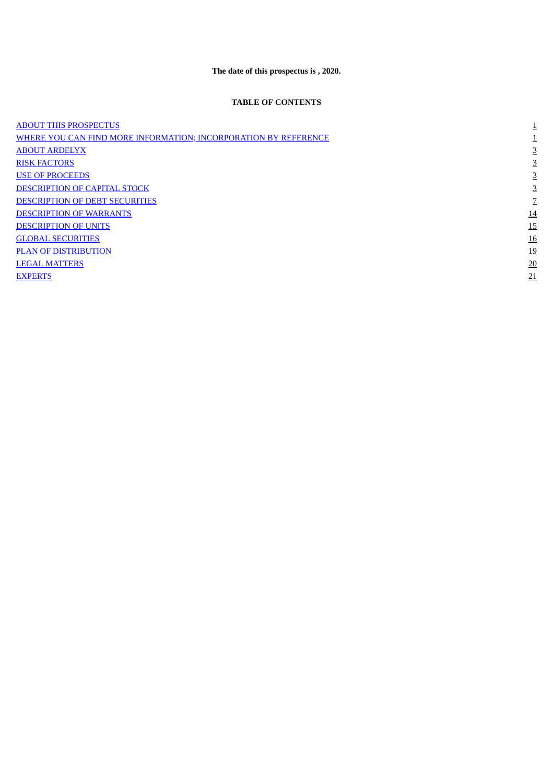# **The date of this prospectus is , 2020.**

# **TABLE OF CONTENTS**

<span id="page-14-0"></span>

| <b>ABOUT THIS PROSPECTUS</b>                                    | ᆂ         |
|-----------------------------------------------------------------|-----------|
| WHERE YOU CAN FIND MORE INFORMATION; INCORPORATION BY REFERENCE |           |
| <b>ABOUT ARDELYX</b>                                            | 3         |
| <b>RISK FACTORS</b>                                             |           |
| <b>USE OF PROCEEDS</b>                                          | 3         |
| <b>DESCRIPTION OF CAPITAL STOCK</b>                             |           |
| <b>DESCRIPTION OF DEBT SECURITIES</b>                           |           |
| <b>DESCRIPTION OF WARRANTS</b>                                  | <u>14</u> |
| <b>DESCRIPTION OF UNITS</b>                                     | <u>15</u> |
| <b>GLOBAL SECURITIES</b>                                        | 16        |
| <b>PLAN OF DISTRIBUTION</b>                                     | <u>19</u> |
| <b>LEGAL MATTERS</b>                                            | 20        |
| <b>EXPERTS</b>                                                  | 21        |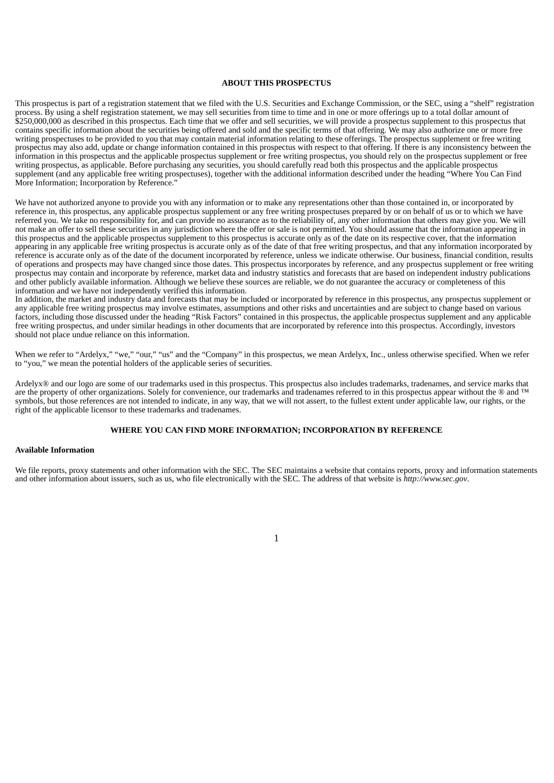#### **ABOUT THIS PROSPECTUS**

This prospectus is part of a registration statement that we filed with the U.S. Securities and Exchange Commission, or the SEC, using a "shelf" registration process. By using a shelf registration statement, we may sell securities from time to time and in one or more offerings up to a total dollar amount of \$250,000,000 as described in this prospectus. Each time that we offer and sell securities, we will provide a prospectus supplement to this prospectus that contains specific information about the securities being offered and sold and the specific terms of that offering. We may also authorize one or more free writing prospectuses to be provided to you that may contain material information relating to these offerings. The prospectus supplement or free writing prospectus may also add, update or change information contained in this prospectus with respect to that offering. If there is any inconsistency between the information in this prospectus and the applicable prospectus supplement or free writing prospectus, you should rely on the prospectus supplement or free writing prospectus, as applicable. Before purchasing any securities, you should carefully read both this prospectus and the applicable prospectus supplement (and any applicable free writing prospectuses), together with the additional information described under the heading "Where You Can Find" More Information; Incorporation by Reference.'

We have not authorized anyone to provide you with any information or to make any representations other than those contained in, or incorporated by reference in, this prospectus, any applicable prospectus supplement or any free writing prospectuses prepared by or on behalf of us or to which we have referred you. We take no responsibility for, and can provide no assurance as to the reliability of, any other information that others may give you. We will not make an offer to sell these securities in any jurisdiction where the offer or sale is not permitted. You should assume that the information appearing in this prospectus and the applicable prospectus supplement to this prospectus is accurate only as of the date on its respective cover, that the information appearing in any applicable free writing prospectus is accurate only as of the date of that free writing prospectus, and that any information incorporated by reference is accurate only as of the date of the document incorporated by reference, unless we indicate otherwise. Our business, financial condition, results of operations and prospects may have changed since those dates. This prospectus incorporates by reference, and any prospectus supplement or free writing prospectus may contain and incorporate by reference, market data and industry statistics and forecasts that are based on independent industry publications and other publicly available information. Although we believe these sources are reliable, we do not guarantee the accuracy or completeness of this information and we have not independently verified this information.

In addition, the market and industry data and forecasts that may be included or incorporated by reference in this prospectus, any prospectus supplement or any applicable free writing prospectus may involve estimates, assumptions and other risks and uncertainties and are subject to change based on various factors, including those discussed under the heading "Risk Factors" contained in this prospectus, the applicable prospectus supplement and any applicable free writing prospectus, and under similar headings in other documents that are incorporated by reference into this prospectus. Accordingly, investors should not place undue reliance on this information.

When we refer to "Ardelyx," "we," "our," "us" and the "Company" in this prospectus, we mean Ardelyx, Inc., unless otherwise specified. When we refer to "you," we mean the potential holders of the applicable series of securities.

Ardelyx® and our logo are some of our trademarks used in this prospectus. This prospectus also includes trademarks, tradenames, and service marks that are the property of other organizations. Solely for convenience, our trademarks and tradenames referred to in this prospectus appear without the ® and ™ symbols, but those references are not intended to indicate, in any way, that we will not assert, to the fullest extent under applicable law, our rights, or the right of the applicable licensor to these trademarks and tradenames.

# **WHERE YOU CAN FIND MORE INFORMATION; INCORPORATION BY REFERENCE**

## <span id="page-15-0"></span>**Available Information**

We file reports, proxy statements and other information with the SEC. The SEC maintains a website that contains reports, proxy and information statements and other information about issuers, such as us, who file electronically with the SEC. The address of that website is *http://www.sec.gov*.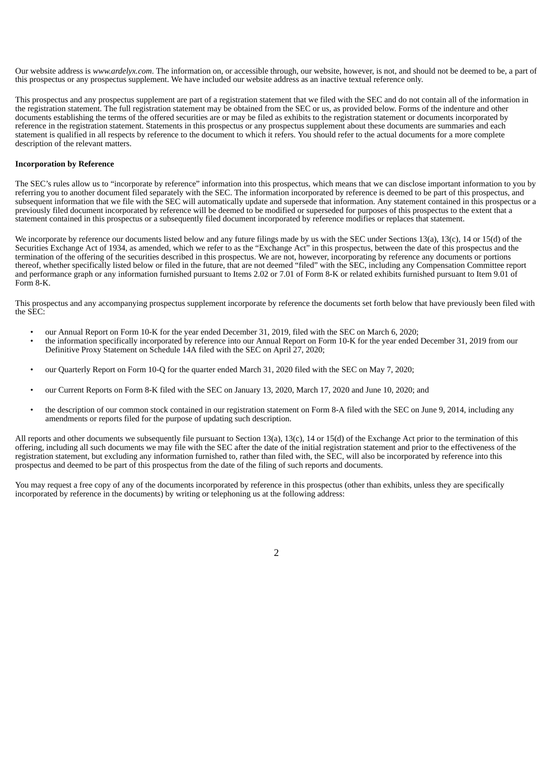Our website address is *www.ardelyx.com*. The information on, or accessible through, our website, however, is not, and should not be deemed to be, a part of this prospectus or any prospectus supplement. We have included our website address as an inactive textual reference only.

This prospectus and any prospectus supplement are part of a registration statement that we filed with the SEC and do not contain all of the information in the registration statement. The full registration statement may be obtained from the SEC or us, as provided below. Forms of the indenture and other documents establishing the terms of the offered securities are or may be filed as exhibits to the registration statement or documents incorporated by reference in the registration statement. Statements in this prospectus or any prospectus supplement about these documents are summaries and each statement is qualified in all respects by reference to the document to which it refers. You should refer to the actual documents for a more complete description of the relevant matters.

## **Incorporation by Reference**

The SEC's rules allow us to "incorporate by reference" information into this prospectus, which means that we can disclose important information to you by referring you to another document filed separately with the SEC. The information incorporated by reference is deemed to be part of this prospectus, and subsequent information that we file with the SEC will automatically update and supersede that information. Any statement contained in this prospectus or a previously filed document incorporated by reference will be deemed to be modified or superseded for purposes of this prospectus to the extent that a statement contained in this prospectus or a subsequently filed document incorporated by reference modifies or replaces that statement.

We incorporate by reference our documents listed below and any future filings made by us with the SEC under Sections 13(a), 13(c), 14 or 15(d) of the Securities Exchange Act of 1934, as amended, which we refer to as the "Exchange Act" in this prospectus, between the date of this prospectus and the termination of the offering of the securities described in this prospectus. We are not, however, incorporating by reference any documents or portions thereof, whether specifically listed below or filed in the future, that are not deemed "filed" with the SEC, including any Compensation Committee report and performance graph or any information furnished pursuant to Items 2.02 or 7.01 of Form 8‑K or related exhibits furnished pursuant to Item 9.01 of Form 8‑K.

This prospectus and any accompanying prospectus supplement incorporate by reference the documents set forth below that have previously been filed with the  $SFC$ 

- our Annual Report on Form 10‑K for the year ended December 31, 2019, filed with the SEC on March 6, 2020;
- the information specifically incorporated by reference into our Annual Report on Form 10‑K for the year ended December 31, 2019 from our Definitive Proxy Statement on Schedule 14A filed with the SEC on April 27, 2020;
- our Quarterly Report on Form 10‑Q for the quarter ended March 31, 2020 filed with the SEC on May 7, 2020;
- our Current Reports on Form 8‑K filed with the SEC on January 13, 2020, March 17, 2020 and June 10, 2020; and
- the description of our common stock contained in our registration statement on Form 8‑A filed with the SEC on June 9, 2014, including any amendments or reports filed for the purpose of updating such description.

All reports and other documents we subsequently file pursuant to Section 13(a), 13(c), 14 or 15(d) of the Exchange Act prior to the termination of this offering, including all such documents we may file with the SEC after the date of the initial registration statement and prior to the effectiveness of the registration statement, but excluding any information furnished to, rather than filed with, the SEC, will also be incorporated by reference into this prospectus and deemed to be part of this prospectus from the date of the filing of such reports and documents.

You may request a free copy of any of the documents incorporated by reference in this prospectus (other than exhibits, unless they are specifically incorporated by reference in the documents) by writing or telephoning us at the following address:

2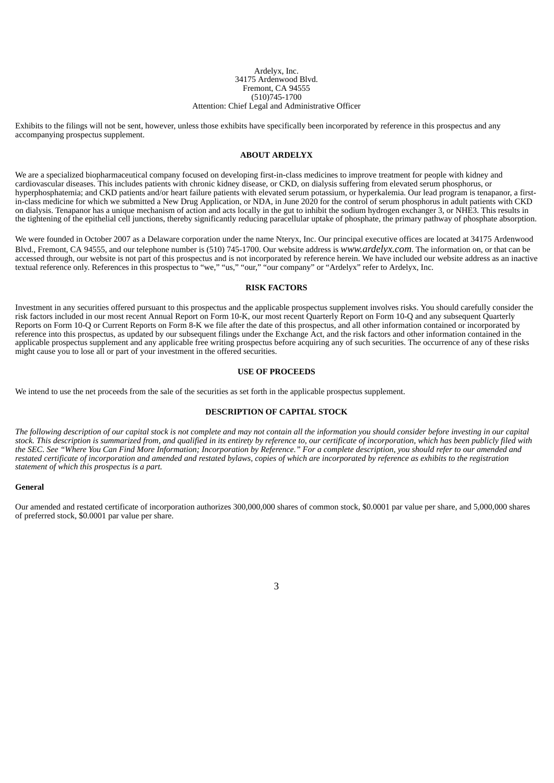#### Ardelyx, Inc. 34175 Ardenwood Blvd. Fremont, CA 94555 (510)745‑1700 Attention: Chief Legal and Administrative Officer

Exhibits to the filings will not be sent, however, unless those exhibits have specifically been incorporated by reference in this prospectus and any accompanying prospectus supplement.

## **ABOUT ARDELYX**

<span id="page-17-0"></span>We are a specialized biopharmaceutical company focused on developing first-in-class medicines to improve treatment for people with kidney and cardiovascular diseases. This includes patients with chronic kidney disease, or CKD, on dialysis suffering from elevated serum phosphorus, or hyperphosphatemia; and CKD patients and/or heart failure patients with elevated serum potassium, or hyperkalemia. Our lead program is tenapanor, a firstin-class medicine for which we submitted a New Drug Application, or NDA, in June 2020 for the control of serum phosphorus in adult patients with CKD on dialysis. Tenapanor has a unique mechanism of action and acts locally in the gut to inhibit the sodium hydrogen exchanger 3, or NHE3. This results in the tightening of the epithelial cell junctions, thereby significantly reducing paracellular uptake of phosphate, the primary pathway of phosphate absorption.

We were founded in October 2007 as a Delaware corporation under the name Nteryx, Inc. Our principal executive offices are located at 34175 Ardenwood Blvd., Fremont, CA 94555, and our telephone number is (510) 745-1700. Our website address is *www.ardelyx.com*. The information on, or that can be accessed through, our website is not part of this prospectus and is not incorporated by reference herein. We have included our website address as an inactive textual reference only. References in this prospectus to "we," "us," "our," "our company" or "Ardelyx" refer to Ardelyx, Inc.

#### **RISK FACTORS**

<span id="page-17-1"></span>Investment in any securities offered pursuant to this prospectus and the applicable prospectus supplement involves risks. You should carefully consider the risk factors included in our most recent Annual Report on Form 10‑K, our most recent Quarterly Report on Form 10‑Q and any subsequent Quarterly Reports on Form 10‑Q or Current Reports on Form 8‑K we file after the date of this prospectus, and all other information contained or incorporated by reference into this prospectus, as updated by our subsequent filings under the Exchange Act, and the risk factors and other information contained in the applicable prospectus supplement and any applicable free writing prospectus before acquiring any of such securities. The occurrence of any of these risks might cause you to lose all or part of your investment in the offered securities.

# **USE OF PROCEEDS**

<span id="page-17-3"></span><span id="page-17-2"></span>We intend to use the net proceeds from the sale of the securities as set forth in the applicable prospectus supplement.

## **DESCRIPTION OF CAPITAL STOCK**

The following description of our capital stock is not complete and may not contain all the information you should consider before investing in our capital stock. This description is summarized from, and qualified in its entirety by reference to, our certificate of incorporation, which has been publicly filed with the SEC. See "Where You Can Find More Information; Incorporation by Reference." For a complete description, you should refer to our amended and restated certificate of incorporation and amended and restated bylaws, copies of which are incorporated by reference as exhibits to the registration *statement of which this prospectus is a part.*

## **General**

Our amended and restated certificate of incorporation authorizes 300,000,000 shares of common stock, \$0.0001 par value per share, and 5,000,000 shares of preferred stock, \$0.0001 par value per share.

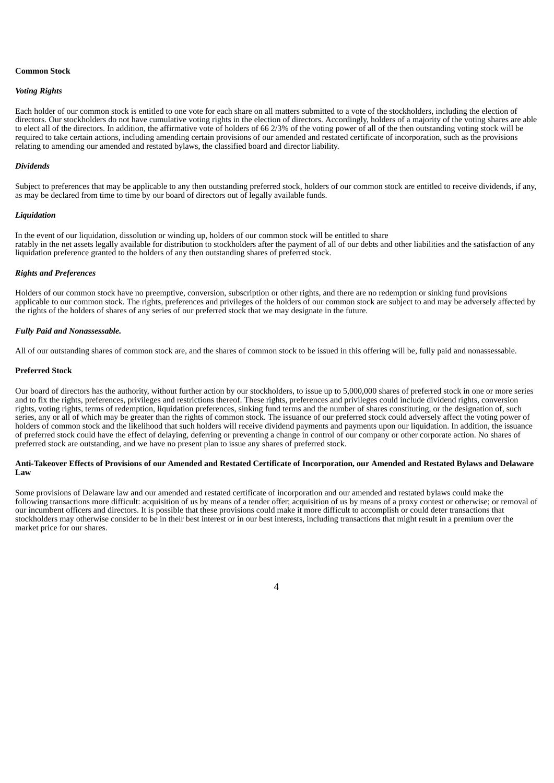# **Common Stock**

#### *Voting Rights*

Each holder of our common stock is entitled to one vote for each share on all matters submitted to a vote of the stockholders, including the election of directors. Our stockholders do not have cumulative voting rights in the election of directors. Accordingly, holders of a majority of the voting shares are able to elect all of the directors. In addition, the affirmative vote of holders of 66 2/3% of the voting power of all of the then outstanding voting stock will be required to take certain actions, including amending certain provisions of our amended and restated certificate of incorporation, such as the provisions relating to amending our amended and restated bylaws, the classified board and director liability.

#### *Dividends*

Subject to preferences that may be applicable to any then outstanding preferred stock, holders of our common stock are entitled to receive dividends, if any, as may be declared from time to time by our board of directors out of legally available funds.

#### *Liquidation*

In the event of our liquidation, dissolution or winding up, holders of our common stock will be entitled to share ratably in the net assets legally available for distribution to stockholders after the payment of all of our debts and other liabilities and the satisfaction of any liquidation preference granted to the holders of any then outstanding shares of preferred stock.

#### *Rights and Preferences*

Holders of our common stock have no preemptive, conversion, subscription or other rights, and there are no redemption or sinking fund provisions applicable to our common stock. The rights, preferences and privileges of the holders of our common stock are subject to and may be adversely affected by the rights of the holders of shares of any series of our preferred stock that we may designate in the future.

#### *Fully Paid and Nonassessable.*

All of our outstanding shares of common stock are, and the shares of common stock to be issued in this offering will be, fully paid and nonassessable.

## **Preferred Stock**

Our board of directors has the authority, without further action by our stockholders, to issue up to 5,000,000 shares of preferred stock in one or more series and to fix the rights, preferences, privileges and restrictions thereof. These rights, preferences and privileges could include dividend rights, conversion rights, voting rights, terms of redemption, liquidation preferences, sinking fund terms and the number of shares constituting, or the designation of, such series, any or all of which may be greater than the rights of common stock. The issuance of our preferred stock could adversely affect the voting power of holders of common stock and the likelihood that such holders will receive dividend payments and payments upon our liquidation. In addition, the issuance of preferred stock could have the effect of delaying, deferring or preventing a change in control of our company or other corporate action. No shares of preferred stock are outstanding, and we have no present plan to issue any shares of preferred stock.

## Anti-Takeover Effects of Provisions of our Amended and Restated Certificate of Incorporation, our Amended and Restated Bylaws and Delaware **Law**

Some provisions of Delaware law and our amended and restated certificate of incorporation and our amended and restated bylaws could make the following transactions more difficult: acquisition of us by means of a tender offer; acquisition of us by means of a proxy contest or otherwise; or removal of our incumbent officers and directors. It is possible that these provisions could make it more difficult to accomplish or could deter transactions that stockholders may otherwise consider to be in their best interest or in our best interests, including transactions that might result in a premium over the market price for our shares.

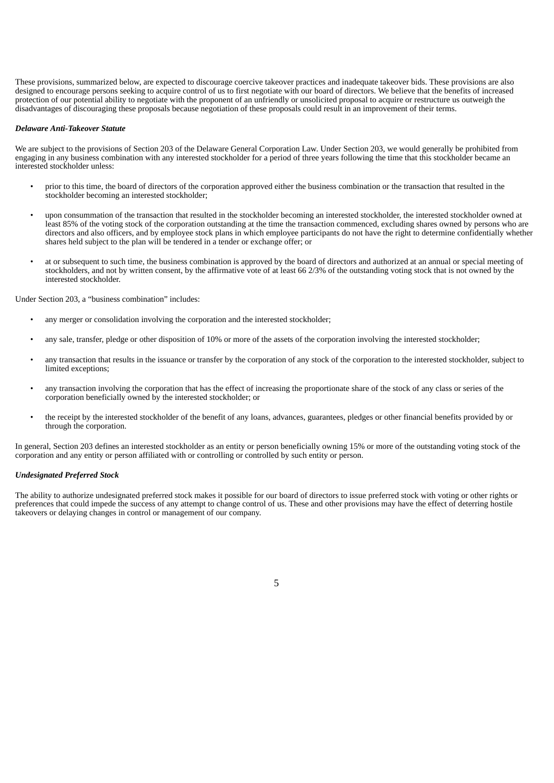These provisions, summarized below, are expected to discourage coercive takeover practices and inadequate takeover bids. These provisions are also designed to encourage persons seeking to acquire control of us to first negotiate with our board of directors. We believe that the benefits of increased protection of our potential ability to negotiate with the proponent of an unfriendly or unsolicited proposal to acquire or restructure us outweigh the disadvantages of discouraging these proposals because negotiation of these proposals could result in an improvement of their terms.

### *Delaware Anti-Takeover Statute*

We are subject to the provisions of Section 203 of the Delaware General Corporation Law. Under Section 203, we would generally be prohibited from engaging in any business combination with any interested stockholder for a period of three years following the time that this stockholder became an interested stockholder unless:

- prior to this time, the board of directors of the corporation approved either the business combination or the transaction that resulted in the stockholder becoming an interested stockholder;
- upon consummation of the transaction that resulted in the stockholder becoming an interested stockholder, the interested stockholder owned at least 85% of the voting stock of the corporation outstanding at the time the transaction commenced, excluding shares owned by persons who are directors and also officers, and by employee stock plans in which employee participants do not have the right to determine confidentially whether shares held subject to the plan will be tendered in a tender or exchange offer; or
- at or subsequent to such time, the business combination is approved by the board of directors and authorized at an annual or special meeting of stockholders, and not by written consent, by the affirmative vote of at least 66 2/3% of the outstanding voting stock that is not owned by the interested stockholder.

Under Section 203, a "business combination" includes:

- any merger or consolidation involving the corporation and the interested stockholder;
- any sale, transfer, pledge or other disposition of 10% or more of the assets of the corporation involving the interested stockholder;
- any transaction that results in the issuance or transfer by the corporation of any stock of the corporation to the interested stockholder, subject to limited exceptions;
- any transaction involving the corporation that has the effect of increasing the proportionate share of the stock of any class or series of the corporation beneficially owned by the interested stockholder; or
- the receipt by the interested stockholder of the benefit of any loans, advances, guarantees, pledges or other financial benefits provided by or through the corporation.

In general, Section 203 defines an interested stockholder as an entity or person beneficially owning 15% or more of the outstanding voting stock of the corporation and any entity or person affiliated with or controlling or controlled by such entity or person.

## *Undesignated Preferred Stock*

The ability to authorize undesignated preferred stock makes it possible for our board of directors to issue preferred stock with voting or other rights or preferences that could impede the success of any attempt to change control of us. These and other provisions may have the effect of deterring hostile takeovers or delaying changes in control or management of our company.

5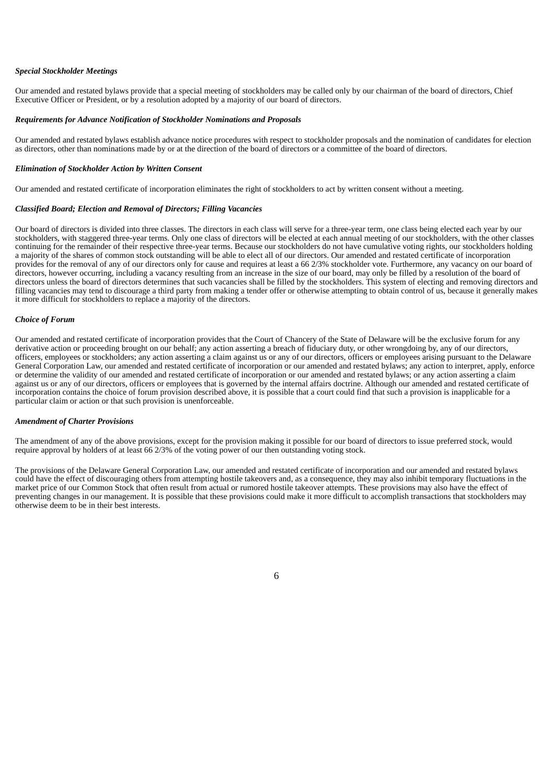# *Special Stockholder Meetings*

Our amended and restated bylaws provide that a special meeting of stockholders may be called only by our chairman of the board of directors, Chief Executive Officer or President, or by a resolution adopted by a majority of our board of directors.

## *Requirements for Advance Notification of Stockholder Nominations and Proposals*

Our amended and restated bylaws establish advance notice procedures with respect to stockholder proposals and the nomination of candidates for election as directors, other than nominations made by or at the direction of the board of directors or a committee of the board of directors.

#### *Elimination of Stockholder Action by Written Consent*

Our amended and restated certificate of incorporation eliminates the right of stockholders to act by written consent without a meeting.

## *Classified Board; Election and Removal of Directors; Filling Vacancies*

Our board of directors is divided into three classes. The directors in each class will serve for a three-year term, one class being elected each year by our stockholders, with staggered three-year terms. Only one class of directors will be elected at each annual meeting of our stockholders, with the other classes continuing for the remainder of their respective three-year terms. Because our stockholders do not have cumulative voting rights, our stockholders holding a majority of the shares of common stock outstanding will be able to elect all of our directors. Our amended and restated certificate of incorporation provides for the removal of any of our directors only for cause and requires at least a 66 2/3% stockholder vote. Furthermore, any vacancy on our board of directors, however occurring, including a vacancy resulting from an increase in the size of our board, may only be filled by a resolution of the board of directors unless the board of directors determines that such vacancies shall be filled by the stockholders. This system of electing and removing directors and filling vacancies may tend to discourage a third party from making a tender offer or otherwise attempting to obtain control of us, because it generally makes it more difficult for stockholders to replace a majority of the directors.

## *Choice of Forum*

Our amended and restated certificate of incorporation provides that the Court of Chancery of the State of Delaware will be the exclusive forum for any derivative action or proceeding brought on our behalf; any action asserting a breach of fiduciary duty, or other wrongdoing by, any of our directors, officers, employees or stockholders; any action asserting a claim against us or any of our directors, officers or employees arising pursuant to the Delaware General Corporation Law, our amended and restated certificate of incorporation or our amended and restated bylaws; any action to interpret, apply, enforce or determine the validity of our amended and restated certificate of incorporation or our amended and restated bylaws; or any action asserting a claim against us or any of our directors, officers or employees that is governed by the internal affairs doctrine. Although our amended and restated certificate of incorporation contains the choice of forum provision described above, it is possible that a court could find that such a provision is inapplicable for a particular claim or action or that such provision is unenforceable.

# *Amendment of Charter Provisions*

The amendment of any of the above provisions, except for the provision making it possible for our board of directors to issue preferred stock, would require approval by holders of at least 66 2/3% of the voting power of our then outstanding voting stock.

The provisions of the Delaware General Corporation Law, our amended and restated certificate of incorporation and our amended and restated bylaws could have the effect of discouraging others from attempting hostile takeovers and, as a consequence, they may also inhibit temporary fluctuations in the market price of our Common Stock that often result from actual or rumored hostile takeover attempts. These provisions may also have the effect of preventing changes in our management. It is possible that these provisions could make it more difficult to accomplish transactions that stockholders may otherwise deem to be in their best interests.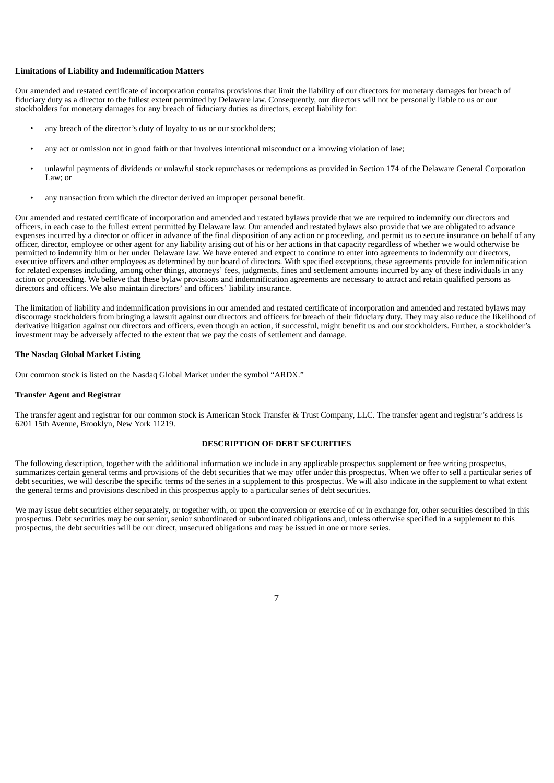## **Limitations of Liability and Indemnification Matters**

Our amended and restated certificate of incorporation contains provisions that limit the liability of our directors for monetary damages for breach of fiduciary duty as a director to the fullest extent permitted by Delaware law. Consequently, our directors will not be personally liable to us or our stockholders for monetary damages for any breach of fiduciary duties as directors, except liability for:

- any breach of the director's duty of loyalty to us or our stockholders;
- any act or omission not in good faith or that involves intentional misconduct or a knowing violation of law;
- unlawful payments of dividends or unlawful stock repurchases or redemptions as provided in Section 174 of the Delaware General Corporation Law; or
- any transaction from which the director derived an improper personal benefit.

Our amended and restated certificate of incorporation and amended and restated bylaws provide that we are required to indemnify our directors and officers, in each case to the fullest extent permitted by Delaware law. Our amended and restated bylaws also provide that we are obligated to advance expenses incurred by a director or officer in advance of the final disposition of any action or proceeding, and permit us to secure insurance on behalf of any officer, director, employee or other agent for any liability arising out of his or her actions in that capacity regardless of whether we would otherwise be permitted to indemnify him or her under Delaware law. We have entered and expect to continue to enter into agreements to indemnify our directors, executive officers and other employees as determined by our board of directors. With specified exceptions, these agreements provide for indemnification for related expenses including, among other things, attorneys' fees, judgments, fines and settlement amounts incurred by any of these individuals in any action or proceeding. We believe that these bylaw provisions and indemnification agreements are necessary to attract and retain qualified persons as directors and officers. We also maintain directors' and officers' liability insurance.

The limitation of liability and indemnification provisions in our amended and restated certificate of incorporation and amended and restated bylaws may discourage stockholders from bringing a lawsuit against our directors and officers for breach of their fiduciary duty. They may also reduce the likelihood of derivative litigation against our directors and officers, even though an action, if successful, might benefit us and our stockholders. Further, a stockholder's investment may be adversely affected to the extent that we pay the costs of settlement and damage.

## **The Nasdaq Global Market Listing**

Our common stock is listed on the Nasdaq Global Market under the symbol "ARDX."

## **Transfer Agent and Registrar**

The transfer agent and registrar for our common stock is American Stock Transfer & Trust Company, LLC. The transfer agent and registrar's address is 6201 15th Avenue, Brooklyn, New York 11219.

## **DESCRIPTION OF DEBT SECURITIES**

<span id="page-21-0"></span>The following description, together with the additional information we include in any applicable prospectus supplement or free writing prospectus, summarizes certain general terms and provisions of the debt securities that we may offer under this prospectus. When we offer to sell a particular series of debt securities, we will describe the specific terms of the series in a supplement to this prospectus. We will also indicate in the supplement to what extent the general terms and provisions described in this prospectus apply to a particular series of debt securities.

We may issue debt securities either separately, or together with, or upon the conversion or exercise of or in exchange for, other securities described in this prospectus. Debt securities may be our senior, senior subordinated or subordinated obligations and, unless otherwise specified in a supplement to this prospectus, the debt securities will be our direct, unsecured obligations and may be issued in one or more series.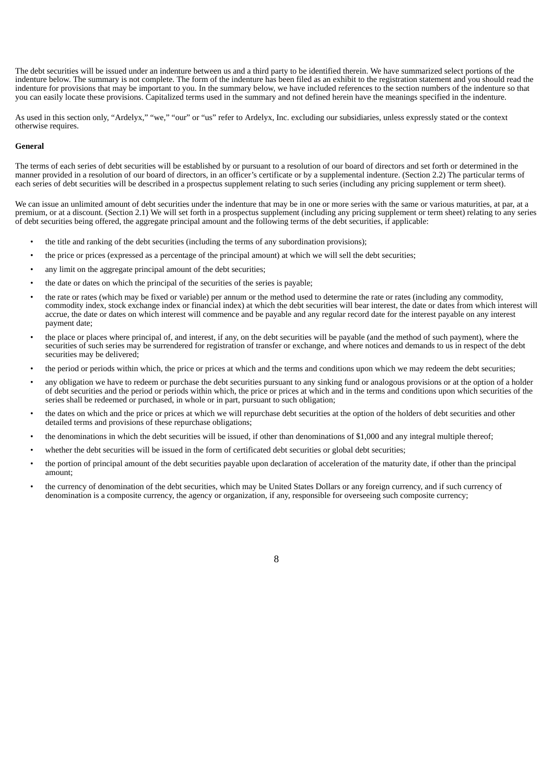The debt securities will be issued under an indenture between us and a third party to be identified therein. We have summarized select portions of the indenture below. The summary is not complete. The form of the indenture has been filed as an exhibit to the registration statement and you should read the indenture for provisions that may be important to you. In the summary below, we have included references to the section numbers of the indenture so that you can easily locate these provisions. Capitalized terms used in the summary and not defined herein have the meanings specified in the indenture.

As used in this section only, "Ardelyx," "we," "our" or "us" refer to Ardelyx, Inc. excluding our subsidiaries, unless expressly stated or the context otherwise requires.

## **General**

The terms of each series of debt securities will be established by or pursuant to a resolution of our board of directors and set forth or determined in the manner provided in a resolution of our board of directors, in an officer's certificate or by a supplemental indenture. (Section 2.2) The particular terms of each series of debt securities will be described in a prospectus supplement relating to such series (including any pricing supplement or term sheet).

We can issue an unlimited amount of debt securities under the indenture that may be in one or more series with the same or various maturities, at par, at a premium, or at a discount. (Section 2.1) We will set forth in a prospectus supplement (including any pricing supplement or term sheet) relating to any series of debt securities being offered, the aggregate principal amount and the following terms of the debt securities, if applicable:

- the title and ranking of the debt securities (including the terms of any subordination provisions);
- the price or prices (expressed as a percentage of the principal amount) at which we will sell the debt securities;
- any limit on the aggregate principal amount of the debt securities;
- the date or dates on which the principal of the securities of the series is payable;
- the rate or rates (which may be fixed or variable) per annum or the method used to determine the rate or rates (including any commodity, commodity index, stock exchange index or financial index) at which the debt securities will bear interest, the date or dates from which interest will accrue, the date or dates on which interest will commence and be payable and any regular record date for the interest payable on any interest payment date;
- the place or places where principal of, and interest, if any, on the debt securities will be payable (and the method of such payment), where the securities of such series may be surrendered for registration of transfer or exchange, and where notices and demands to us in respect of the debt securities may be delivered;
- the period or periods within which, the price or prices at which and the terms and conditions upon which we may redeem the debt securities;
- any obligation we have to redeem or purchase the debt securities pursuant to any sinking fund or analogous provisions or at the option of a holder of debt securities and the period or periods within which, the price or prices at which and in the terms and conditions upon which securities of the series shall be redeemed or purchased, in whole or in part, pursuant to such obligation;
- the dates on which and the price or prices at which we will repurchase debt securities at the option of the holders of debt securities and other detailed terms and provisions of these repurchase obligations;
- the denominations in which the debt securities will be issued, if other than denominations of \$1,000 and any integral multiple thereof;
- whether the debt securities will be issued in the form of certificated debt securities or global debt securities;
- the portion of principal amount of the debt securities payable upon declaration of acceleration of the maturity date, if other than the principal amount;
- the currency of denomination of the debt securities, which may be United States Dollars or any foreign currency, and if such currency of denomination is a composite currency, the agency or organization, if any, responsible for overseeing such composite currency;

8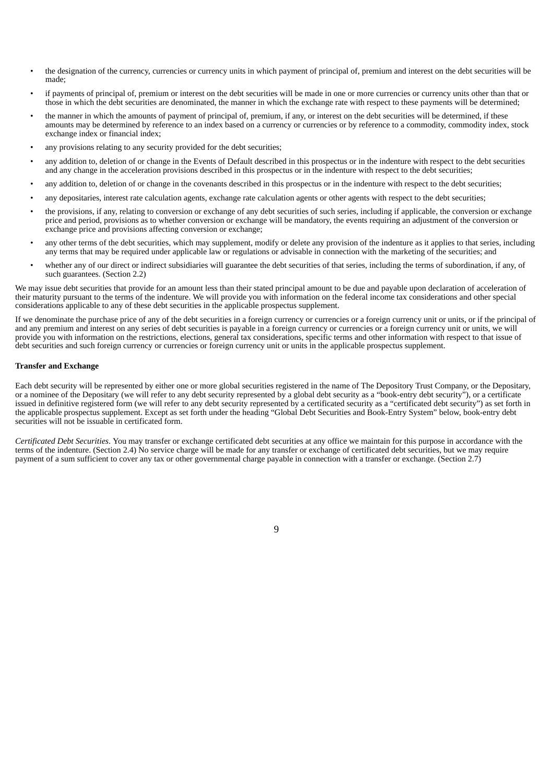- the designation of the currency, currencies or currency units in which payment of principal of, premium and interest on the debt securities will be made;
- if payments of principal of, premium or interest on the debt securities will be made in one or more currencies or currency units other than that or those in which the debt securities are denominated, the manner in which the exchange rate with respect to these payments will be determined;
- the manner in which the amounts of payment of principal of, premium, if any, or interest on the debt securities will be determined, if these amounts may be determined by reference to an index based on a currency or currencies or by reference to a commodity, commodity index, stock exchange index or financial index;
- any provisions relating to any security provided for the debt securities;
- any addition to, deletion of or change in the Events of Default described in this prospectus or in the indenture with respect to the debt securities and any change in the acceleration provisions described in this prospectus or in the indenture with respect to the debt securities;
- any addition to, deletion of or change in the covenants described in this prospectus or in the indenture with respect to the debt securities;
- any depositaries, interest rate calculation agents, exchange rate calculation agents or other agents with respect to the debt securities;
- the provisions, if any, relating to conversion or exchange of any debt securities of such series, including if applicable, the conversion or exchange price and period, provisions as to whether conversion or exchange will be mandatory, the events requiring an adjustment of the conversion or exchange price and provisions affecting conversion or exchange;
- any other terms of the debt securities, which may supplement, modify or delete any provision of the indenture as it applies to that series, including any terms that may be required under applicable law or regulations or advisable in connection with the marketing of the securities; and
- whether any of our direct or indirect subsidiaries will guarantee the debt securities of that series, including the terms of subordination, if any, of such guarantees. (Section 2.2)

We may issue debt securities that provide for an amount less than their stated principal amount to be due and payable upon declaration of acceleration of their maturity pursuant to the terms of the indenture. We will provide you with information on the federal income tax considerations and other special considerations applicable to any of these debt securities in the applicable prospectus supplement.

If we denominate the purchase price of any of the debt securities in a foreign currency or currencies or a foreign currency unit or units, or if the principal of and any premium and interest on any series of debt securities is payable in a foreign currency or currencies or a foreign currency unit or units, we will provide you with information on the restrictions, elections, general tax considerations, specific terms and other information with respect to that issue of debt securities and such foreign currency or currencies or foreign currency unit or units in the applicable prospectus supplement.

# **Transfer and Exchange**

Each debt security will be represented by either one or more global securities registered in the name of The Depository Trust Company, or the Depositary, or a nominee of the Depositary (we will refer to any debt security represented by a global debt security as a "book-entry debt security"), or a certificate issued in definitive registered form (we will refer to any debt security represented by a certificated security as a "certificated debt security") as set forth in the applicable prospectus supplement. Except as set forth under the heading "Global Debt Securities and Book-Entry System" below, book-entry debt securities will not be issuable in certificated form.

*Certificated Debt Securities*. You may transfer or exchange certificated debt securities at any office we maintain for this purpose in accordance with the terms of the indenture. (Section 2.4) No service charge will be made for any transfer or exchange of certificated debt securities, but we may require payment of a sum sufficient to cover any tax or other governmental charge payable in connection with a transfer or exchange. (Section 2.7)

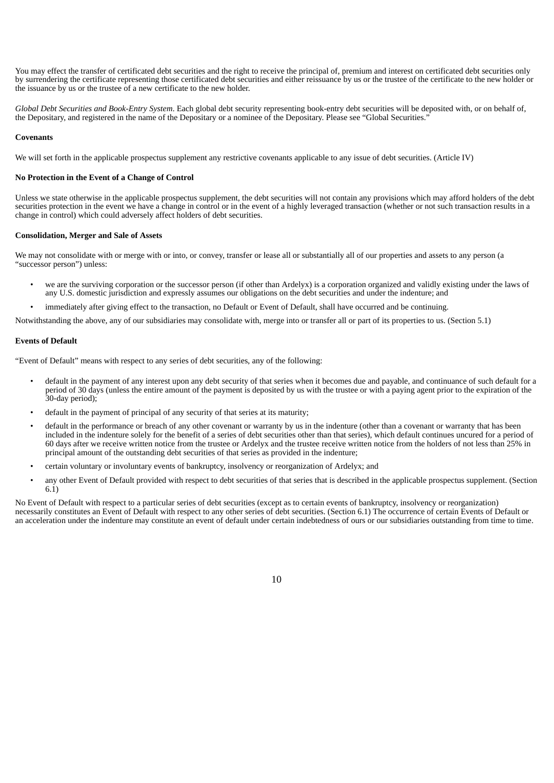You may effect the transfer of certificated debt securities and the right to receive the principal of, premium and interest on certificated debt securities only by surrendering the certificate representing those certificated debt securities and either reissuance by us or the trustee of the certificate to the new holder or the issuance by us or the trustee of a new certificate to the new holder.

*Global Debt Securities and Book-Entry System*. Each global debt security representing book-entry debt securities will be deposited with, or on behalf of, the Depositary, and registered in the name of the Depositary or a nominee of the Depositary. Please see "Global Securities."

### **Covenants**

We will set forth in the applicable prospectus supplement any restrictive covenants applicable to any issue of debt securities. (Article IV)

## **No Protection in the Event of a Change of Control**

Unless we state otherwise in the applicable prospectus supplement, the debt securities will not contain any provisions which may afford holders of the debt securities protection in the event we have a change in control or in the event of a highly leveraged transaction (whether or not such transaction results in a change in control) which could adversely affect holders of debt securities.

# **Consolidation, Merger and Sale of Assets**

We may not consolidate with or merge with or into, or convey, transfer or lease all or substantially all of our properties and assets to any person (a "successor person") unless:

- we are the surviving corporation or the successor person (if other than Ardelyx) is a corporation organized and validly existing under the laws of any U.S. domestic jurisdiction and expressly assumes our obligations on the debt securities and under the indenture; and
- immediately after giving effect to the transaction, no Default or Event of Default, shall have occurred and be continuing.

Notwithstanding the above, any of our subsidiaries may consolidate with, merge into or transfer all or part of its properties to us. (Section 5.1)

## **Events of Default**

"Event of Default" means with respect to any series of debt securities, any of the following:

- default in the payment of any interest upon any debt security of that series when it becomes due and payable, and continuance of such default for a period of 30 days (unless the entire amount of the payment is deposited by us with the trustee or with a paying agent prior to the expiration of the 30-day period);
- default in the payment of principal of any security of that series at its maturity;
- default in the performance or breach of any other covenant or warranty by us in the indenture (other than a covenant or warranty that has been included in the indenture solely for the benefit of a series of debt securities other than that series), which default continues uncured for a period of 60 days after we receive written notice from the trustee or Ardelyx and the trustee receive written notice from the holders of not less than 25% in principal amount of the outstanding debt securities of that series as provided in the indenture;
- certain voluntary or involuntary events of bankruptcy, insolvency or reorganization of Ardelyx; and
- any other Event of Default provided with respect to debt securities of that series that is described in the applicable prospectus supplement. (Section 6.1)

No Event of Default with respect to a particular series of debt securities (except as to certain events of bankruptcy, insolvency or reorganization) necessarily constitutes an Event of Default with respect to any other series of debt securities. (Section 6.1) The occurrence of certain Events of Default or an acceleration under the indenture may constitute an event of default under certain indebtedness of ours or our subsidiaries outstanding from time to time.

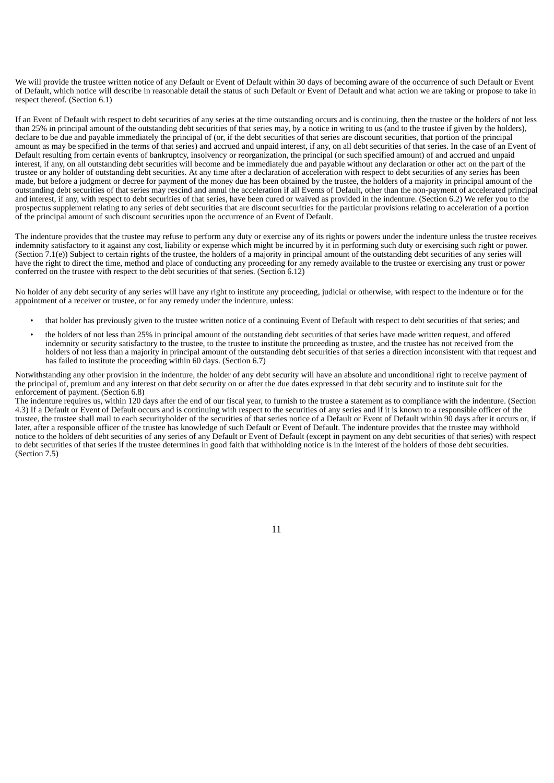We will provide the trustee written notice of any Default or Event of Default within 30 days of becoming aware of the occurrence of such Default or Event of Default, which notice will describe in reasonable detail the status of such Default or Event of Default and what action we are taking or propose to take in respect thereof. (Section 6.1)

If an Event of Default with respect to debt securities of any series at the time outstanding occurs and is continuing, then the trustee or the holders of not less than 25% in principal amount of the outstanding debt securities of that series may, by a notice in writing to us (and to the trustee if given by the holders), declare to be due and payable immediately the principal of (or, if the debt securities of that series are discount securities, that portion of the principal amount as may be specified in the terms of that series) and accrued and unpaid interest, if any, on all debt securities of that series. In the case of an Event of Default resulting from certain events of bankruptcy, insolvency or reorganization, the principal (or such specified amount) of and accrued and unpaid interest, if any, on all outstanding debt securities will become and be immediately due and payable without any declaration or other act on the part of the trustee or any holder of outstanding debt securities. At any time after a declaration of acceleration with respect to debt securities of any series has been made, but before a judgment or decree for payment of the money due has been obtained by the trustee, the holders of a majority in principal amount of the outstanding debt securities of that series may rescind and annul the acceleration if all Events of Default, other than the non-payment of accelerated principal and interest, if any, with respect to debt securities of that series, have been cured or waived as provided in the indenture. (Section 6.2) We refer you to the prospectus supplement relating to any series of debt securities that are discount securities for the particular provisions relating to acceleration of a portion of the principal amount of such discount securities upon the occurrence of an Event of Default.

The indenture provides that the trustee may refuse to perform any duty or exercise any of its rights or powers under the indenture unless the trustee receives indemnity satisfactory to it against any cost, liability or expense which might be incurred by it in performing such duty or exercising such right or power. (Section 7.1(e)) Subject to certain rights of the trustee, the holders of a majority in principal amount of the outstanding debt securities of any series will have the right to direct the time, method and place of conducting any proceeding for any remedy available to the trustee or exercising any trust or power conferred on the trustee with respect to the debt securities of that series. (Section 6.12)

No holder of any debt security of any series will have any right to institute any proceeding, judicial or otherwise, with respect to the indenture or for the appointment of a receiver or trustee, or for any remedy under the indenture, unless:

- that holder has previously given to the trustee written notice of a continuing Event of Default with respect to debt securities of that series; and
- the holders of not less than 25% in principal amount of the outstanding debt securities of that series have made written request, and offered indemnity or security satisfactory to the trustee, to the trustee to institute the proceeding as trustee, and the trustee has not received from the holders of not less than a majority in principal amount of the outstanding debt securities of that series a direction inconsistent with that request and has failed to institute the proceeding within 60 days. (Section 6.7)

Notwithstanding any other provision in the indenture, the holder of any debt security will have an absolute and unconditional right to receive payment of the principal of, premium and any interest on that debt security on or after the due dates expressed in that debt security and to institute suit for the enforcement of payment. (Section 6.8)

The indenture requires us, within 120 days after the end of our fiscal year, to furnish to the trustee a statement as to compliance with the indenture. (Section 4.3) If a Default or Event of Default occurs and is continuing with respect to the securities of any series and if it is known to a responsible officer of the trustee, the trustee shall mail to each securityholder of the securities of that series notice of a Default or Event of Default within 90 days after it occurs or, if later, after a responsible officer of the trustee has knowledge of such Default or Event of Default. The indenture provides that the trustee may withhold notice to the holders of debt securities of any series of any Default or Event of Default (except in payment on any debt securities of that series) with respect to debt securities of that series if the trustee determines in good faith that withholding notice is in the interest of the holders of those debt securities. (Section 7.5)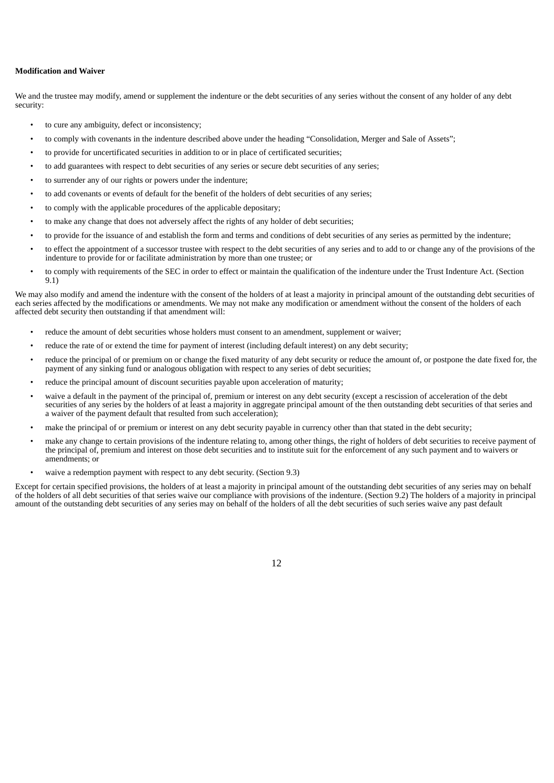# **Modification and Waiver**

We and the trustee may modify, amend or supplement the indenture or the debt securities of any series without the consent of any holder of any debt security:

- to cure any ambiguity, defect or inconsistency;
- to comply with covenants in the indenture described above under the heading "Consolidation, Merger and Sale of Assets";
- to provide for uncertificated securities in addition to or in place of certificated securities;
- to add guarantees with respect to debt securities of any series or secure debt securities of any series;
- to surrender any of our rights or powers under the indenture;
- to add covenants or events of default for the benefit of the holders of debt securities of any series;
- to comply with the applicable procedures of the applicable depositary;
- to make any change that does not adversely affect the rights of any holder of debt securities;
- to provide for the issuance of and establish the form and terms and conditions of debt securities of any series as permitted by the indenture;
- to effect the appointment of a successor trustee with respect to the debt securities of any series and to add to or change any of the provisions of the indenture to provide for or facilitate administration by more than one trustee; or
- to comply with requirements of the SEC in order to effect or maintain the qualification of the indenture under the Trust Indenture Act. (Section 9.1)

We may also modify and amend the indenture with the consent of the holders of at least a majority in principal amount of the outstanding debt securities of each series affected by the modifications or amendments. We may not make any modification or amendment without the consent of the holders of each affected debt security then outstanding if that amendment will:

- reduce the amount of debt securities whose holders must consent to an amendment, supplement or waiver;
- reduce the rate of or extend the time for payment of interest (including default interest) on any debt security;
- reduce the principal of or premium on or change the fixed maturity of any debt security or reduce the amount of, or postpone the date fixed for, the payment of any sinking fund or analogous obligation with respect to any series of debt securities;
- reduce the principal amount of discount securities payable upon acceleration of maturity;
- waive a default in the payment of the principal of, premium or interest on any debt security (except a rescission of acceleration of the debt securities of any series by the holders of at least a majority in aggregate principal amount of the then outstanding debt securities of that series and a waiver of the payment default that resulted from such acceleration);
- make the principal of or premium or interest on any debt security payable in currency other than that stated in the debt security;
- make any change to certain provisions of the indenture relating to, among other things, the right of holders of debt securities to receive payment of the principal of, premium and interest on those debt securities and to institute suit for the enforcement of any such payment and to waivers or amendments; or
- waive a redemption payment with respect to any debt security. (Section 9.3)

Except for certain specified provisions, the holders of at least a majority in principal amount of the outstanding debt securities of any series may on behalf of the holders of all debt securities of that series waive our compliance with provisions of the indenture. (Section 9.2) The holders of a majority in principal amount of the outstanding debt securities of any series may on behalf of the holders of all the debt securities of such series waive any past default

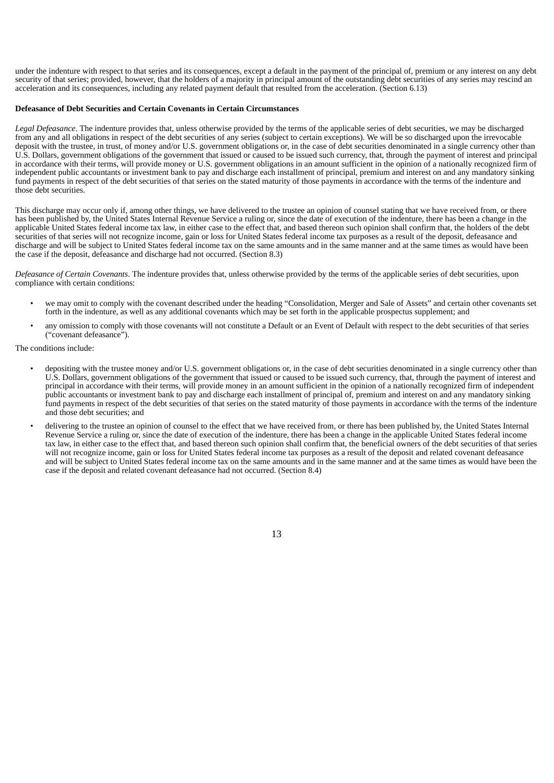under the indenture with respect to that series and its consequences, except a default in the payment of the principal of, premium or any interest on any debt security of that series; provided, however, that the holders of a majority in principal amount of the outstanding debt securities of any series may rescind an acceleration and its consequences, including any related payment default that resulted from the acceleration. (Section 6.13)

## **Defeasance of Debt Securities and Certain Covenants in Certain Circumstances**

*Legal Defeasance*. The indenture provides that, unless otherwise provided by the terms of the applicable series of debt securities, we may be discharged from any and all obligations in respect of the debt securities of any series (subject to certain exceptions). We will be so discharged upon the irrevocable deposit with the trustee, in trust, of money and/or U.S. government obligations or, in the case of debt securities denominated in a single currency other than U.S. Dollars, government obligations of the government that issued or caused to be issued such currency, that, through the payment of interest and principal in accordance with their terms, will provide money or U.S. government obligations in an amount sufficient in the opinion of a nationally recognized firm of independent public accountants or investment bank to pay and discharge each installment of principal, premium and interest on and any mandatory sinking fund payments in respect of the debt securities of that series on the stated maturity of those payments in accordance with the terms of the indenture and those debt securities.

This discharge may occur only if, among other things, we have delivered to the trustee an opinion of counsel stating that we have received from, or there has been published by, the United States Internal Revenue Service a ruling or, since the date of execution of the indenture, there has been a change in the applicable United States federal income tax law, in either case to the effect that, and based thereon such opinion shall confirm that, the holders of the debt securities of that series will not recognize income, gain or loss for United States federal income tax purposes as a result of the deposit, defeasance and discharge and will be subject to United States federal income tax on the same amounts and in the same manner and at the same times as would have been the case if the deposit, defeasance and discharge had not occurred. (Section 8.3)

*Defeasance of Certain Covenants*. The indenture provides that, unless otherwise provided by the terms of the applicable series of debt securities, upon compliance with certain conditions:

- we may omit to comply with the covenant described under the heading "Consolidation, Merger and Sale of Assets" and certain other covenants set forth in the indenture, as well as any additional covenants which may be set forth in the applicable prospectus supplement; and
- any omission to comply with those covenants will not constitute a Default or an Event of Default with respect to the debt securities of that series ("covenant defeasance").

The conditions include:

- depositing with the trustee money and/or U.S. government obligations or, in the case of debt securities denominated in a single currency other than U.S. Dollars, government obligations of the government that issued or caused to be issued such currency, that, through the payment of interest and principal in accordance with their terms, will provide money in an amount sufficient in the opinion of a nationally recognized firm of independent public accountants or investment bank to pay and discharge each installment of principal of, premium and interest on and any mandatory sinking fund payments in respect of the debt securities of that series on the stated maturity of those payments in accordance with the terms of the indenture and those debt securities; and
- delivering to the trustee an opinion of counsel to the effect that we have received from, or there has been published by, the United States Internal Revenue Service a ruling or, since the date of execution of the indenture, there has been a change in the applicable United States federal income tax law, in either case to the effect that, and based thereon such opinion shall confirm that, the beneficial owners of the debt securities of that series will not recognize income, gain or loss for United States federal income tax purposes as a result of the deposit and related covenant defeasance and will be subject to United States federal income tax on the same amounts and in the same manner and at the same times as would have been the case if the deposit and related covenant defeasance had not occurred. (Section 8.4)

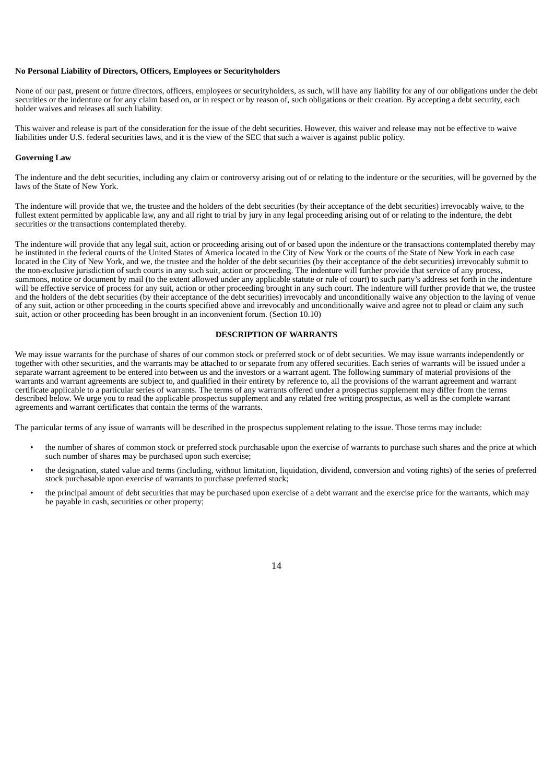## **No Personal Liability of Directors, Officers, Employees or Securityholders**

None of our past, present or future directors, officers, employees or securityholders, as such, will have any liability for any of our obligations under the debt securities or the indenture or for any claim based on, or in respect or by reason of, such obligations or their creation. By accepting a debt security, each holder waives and releases all such liability.

This waiver and release is part of the consideration for the issue of the debt securities. However, this waiver and release may not be effective to waive liabilities under U.S. federal securities laws, and it is the view of the SEC that such a waiver is against public policy.

#### **Governing Law**

The indenture and the debt securities, including any claim or controversy arising out of or relating to the indenture or the securities, will be governed by the laws of the State of New York.

The indenture will provide that we, the trustee and the holders of the debt securities (by their acceptance of the debt securities) irrevocably waive, to the fullest extent permitted by applicable law, any and all right to trial by jury in any legal proceeding arising out of or relating to the indenture, the debt securities or the transactions contemplated thereby.

The indenture will provide that any legal suit, action or proceeding arising out of or based upon the indenture or the transactions contemplated thereby may be instituted in the federal courts of the United States of America located in the City of New York or the courts of the State of New York in each case located in the City of New York, and we, the trustee and the holder of the debt securities (by their acceptance of the debt securities) irrevocably submit to the non-exclusive jurisdiction of such courts in any such suit, action or proceeding. The indenture will further provide that service of any process, summons, notice or document by mail (to the extent allowed under any applicable statute or rule of court) to such party's address set forth in the indenture will be effective service of process for any suit, action or other proceeding brought in any such court. The indenture will further provide that we, the trustee and the holders of the debt securities (by their acceptance of the debt securities) irrevocably and unconditionally waive any objection to the laying of venue of any suit, action or other proceeding in the courts specified above and irrevocably and unconditionally waive and agree not to plead or claim any such suit, action or other proceeding has been brought in an inconvenient forum. (Section 10.10)

## **DESCRIPTION OF WARRANTS**

<span id="page-28-0"></span>We may issue warrants for the purchase of shares of our common stock or preferred stock or of debt securities. We may issue warrants independently or together with other securities, and the warrants may be attached to or separate from any offered securities. Each series of warrants will be issued under a separate warrant agreement to be entered into between us and the investors or a warrant agent. The following summary of material provisions of the warrants and warrant agreements are subject to, and qualified in their entirety by reference to, all the provisions of the warrant agreement and warrant certificate applicable to a particular series of warrants. The terms of any warrants offered under a prospectus supplement may differ from the terms described below. We urge you to read the applicable prospectus supplement and any related free writing prospectus, as well as the complete warrant agreements and warrant certificates that contain the terms of the warrants.

The particular terms of any issue of warrants will be described in the prospectus supplement relating to the issue. Those terms may include:

- the number of shares of common stock or preferred stock purchasable upon the exercise of warrants to purchase such shares and the price at which such number of shares may be purchased upon such exercise;
- the designation, stated value and terms (including, without limitation, liquidation, dividend, conversion and voting rights) of the series of preferred stock purchasable upon exercise of warrants to purchase preferred stock;
- the principal amount of debt securities that may be purchased upon exercise of a debt warrant and the exercise price for the warrants, which may be payable in cash, securities or other property;

14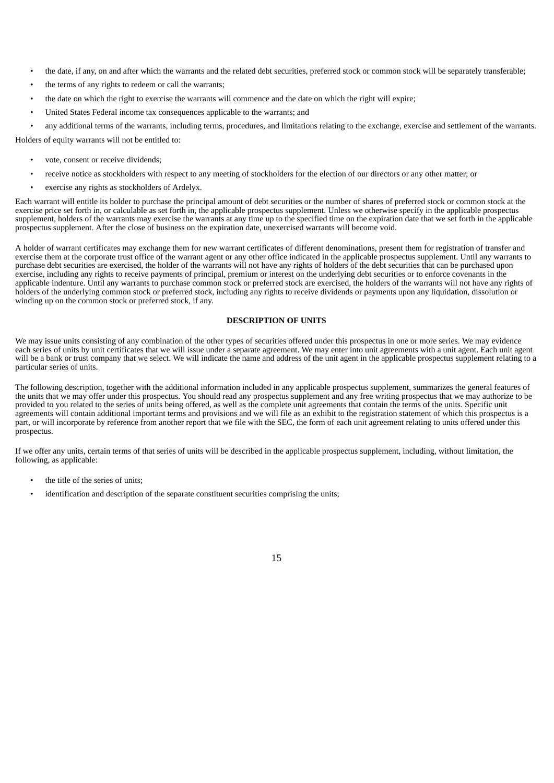- the date, if any, on and after which the warrants and the related debt securities, preferred stock or common stock will be separately transferable;
- the terms of any rights to redeem or call the warrants;
- the date on which the right to exercise the warrants will commence and the date on which the right will expire;
- United States Federal income tax consequences applicable to the warrants; and

• any additional terms of the warrants, including terms, procedures, and limitations relating to the exchange, exercise and settlement of the warrants.

Holders of equity warrants will not be entitled to:

- vote, consent or receive dividends;
- receive notice as stockholders with respect to any meeting of stockholders for the election of our directors or any other matter; or
- exercise any rights as stockholders of Ardelyx.

Each warrant will entitle its holder to purchase the principal amount of debt securities or the number of shares of preferred stock or common stock at the exercise price set forth in, or calculable as set forth in, the applicable prospectus supplement. Unless we otherwise specify in the applicable prospectus supplement, holders of the warrants may exercise the warrants at any time up to the specified time on the expiration date that we set forth in the applicable prospectus supplement. After the close of business on the expiration date, unexercised warrants will become void.

A holder of warrant certificates may exchange them for new warrant certificates of different denominations, present them for registration of transfer and exercise them at the corporate trust office of the warrant agent or any other office indicated in the applicable prospectus supplement. Until any warrants to purchase debt securities are exercised, the holder of the warrants will not have any rights of holders of the debt securities that can be purchased upon exercise, including any rights to receive payments of principal, premium or interest on the underlying debt securities or to enforce covenants in the applicable indenture. Until any warrants to purchase common stock or preferred stock are exercised, the holders of the warrants will not have any rights of holders of the underlying common stock or preferred stock, including any rights to receive dividends or payments upon any liquidation, dissolution or winding up on the common stock or preferred stock, if any.

# **DESCRIPTION OF UNITS**

<span id="page-29-0"></span>We may issue units consisting of any combination of the other types of securities offered under this prospectus in one or more series. We may evidence each series of units by unit certificates that we will issue under a separate agreement. We may enter into unit agreements with a unit agent. Each unit agent will be a bank or trust company that we select. We will indicate the name and address of the unit agent in the applicable prospectus supplement relating to a particular series of units.

The following description, together with the additional information included in any applicable prospectus supplement, summarizes the general features of the units that we may offer under this prospectus. You should read any prospectus supplement and any free writing prospectus that we may authorize to be provided to you related to the series of units being offered, as well as the complete unit agreements that contain the terms of the units. Specific unit agreements will contain additional important terms and provisions and we will file as an exhibit to the registration statement of which this prospectus is a part, or will incorporate by reference from another report that we file with the SEC, the form of each unit agreement relating to units offered under this prospectus.

If we offer any units, certain terms of that series of units will be described in the applicable prospectus supplement, including, without limitation, the following, as applicable:

- the title of the series of units;
- identification and description of the separate constituent securities comprising the units;

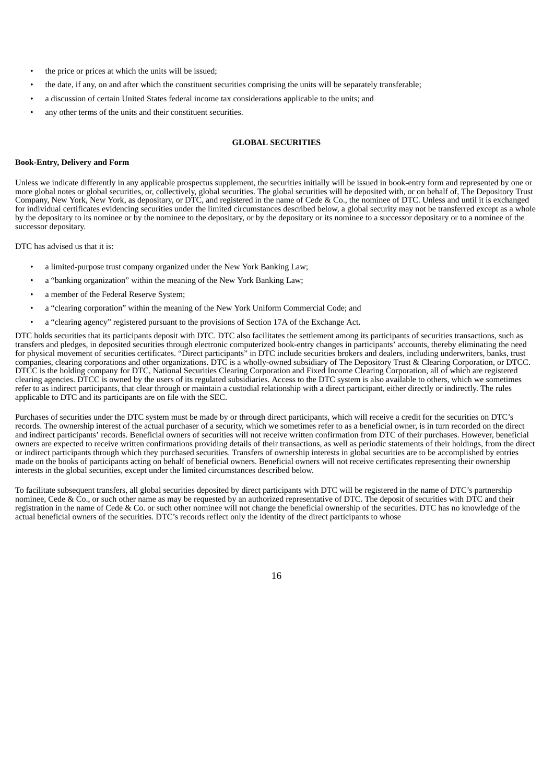- the price or prices at which the units will be issued;
- the date, if any, on and after which the constituent securities comprising the units will be separately transferable;
- a discussion of certain United States federal income tax considerations applicable to the units; and
- any other terms of the units and their constituent securities.

## **GLOBAL SECURITIES**

## <span id="page-30-0"></span>**Book-Entry, Delivery and Form**

Unless we indicate differently in any applicable prospectus supplement, the securities initially will be issued in book-entry form and represented by one or more global notes or global securities, or, collectively, global securities. The global securities will be deposited with, or on behalf of, The Depository Trust Company, New York, New York, as depositary, or DTC, and registered in the name of Cede & Co., the nominee of DTC. Unless and until it is exchanged for individual certificates evidencing securities under the limited circumstances described below, a global security may not be transferred except as a whole by the depositary to its nominee or by the nominee to the depositary, or by the depositary or its nominee to a successor depositary or to a nominee of the successor depositary.

DTC has advised us that it is:

- a limited-purpose trust company organized under the New York Banking Law;
- a "banking organization" within the meaning of the New York Banking Law;
- a member of the Federal Reserve System;
- a "clearing corporation" within the meaning of the New York Uniform Commercial Code; and
- a "clearing agency" registered pursuant to the provisions of Section 17A of the Exchange Act.

DTC holds securities that its participants deposit with DTC. DTC also facilitates the settlement among its participants of securities transactions, such as transfers and pledges, in deposited securities through electronic computerized book-entry changes in participants' accounts, thereby eliminating the need for physical movement of securities certificates. "Direct participants" in DTC include securities brokers and dealers, including underwriters, banks, trust companies, clearing corporations and other organizations. DTC is a wholly-owned subsidiary of The Depository Trust & Clearing Corporation, or DTCC. DTCC is the holding company for DTC, National Securities Clearing Corporation and Fixed Income Clearing Corporation, all of which are registered clearing agencies. DTCC is owned by the users of its regulated subsidiaries. Access to the DTC system is also available to others, which we sometimes refer to as indirect participants, that clear through or maintain a custodial relationship with a direct participant, either directly or indirectly. The rules applicable to DTC and its participants are on file with the SEC.

Purchases of securities under the DTC system must be made by or through direct participants, which will receive a credit for the securities on DTC's records. The ownership interest of the actual purchaser of a security, which we sometimes refer to as a beneficial owner, is in turn recorded on the direct and indirect participants' records. Beneficial owners of securities will not receive written confirmation from DTC of their purchases. However, beneficial owners are expected to receive written confirmations providing details of their transactions, as well as periodic statements of their holdings, from the direct or indirect participants through which they purchased securities. Transfers of ownership interests in global securities are to be accomplished by entries made on the books of participants acting on behalf of beneficial owners. Beneficial owners will not receive certificates representing their ownership interests in the global securities, except under the limited circumstances described below.

To facilitate subsequent transfers, all global securities deposited by direct participants with DTC will be registered in the name of DTC's partnership nominee, Cede & Co., or such other name as may be requested by an authorized representative of DTC. The deposit of securities with DTC and their registration in the name of Cede & Co. or such other nominee will not change the beneficial ownership of the securities. DTC has no knowledge of the actual beneficial owners of the securities. DTC's records reflect only the identity of the direct participants to whose

16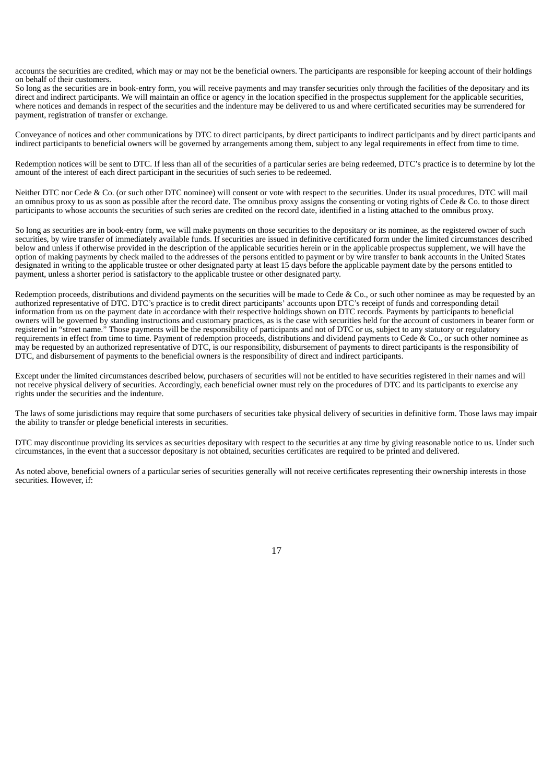accounts the securities are credited, which may or may not be the beneficial owners. The participants are responsible for keeping account of their holdings on behalf of their customers.

So long as the securities are in book-entry form, you will receive payments and may transfer securities only through the facilities of the depositary and its direct and indirect participants. We will maintain an office or agency in the location specified in the prospectus supplement for the applicable securities, where notices and demands in respect of the securities and the indenture may be delivered to us and where certificated securities may be surrendered for payment, registration of transfer or exchange.

Conveyance of notices and other communications by DTC to direct participants, by direct participants to indirect participants and by direct participants and indirect participants to beneficial owners will be governed by arrangements among them, subject to any legal requirements in effect from time to time.

Redemption notices will be sent to DTC. If less than all of the securities of a particular series are being redeemed, DTC's practice is to determine by lot the amount of the interest of each direct participant in the securities of such series to be redeemed.

Neither DTC nor Cede & Co. (or such other DTC nominee) will consent or vote with respect to the securities. Under its usual procedures, DTC will mail an omnibus proxy to us as soon as possible after the record date. The omnibus proxy assigns the consenting or voting rights of Cede & Co. to those direct participants to whose accounts the securities of such series are credited on the record date, identified in a listing attached to the omnibus proxy.

So long as securities are in book-entry form, we will make payments on those securities to the depositary or its nominee, as the registered owner of such securities, by wire transfer of immediately available funds. If securities are issued in definitive certificated form under the limited circumstances described below and unless if otherwise provided in the description of the applicable securities herein or in the applicable prospectus supplement, we will have the option of making payments by check mailed to the addresses of the persons entitled to payment or by wire transfer to bank accounts in the United States designated in writing to the applicable trustee or other designated party at least 15 days before the applicable payment date by the persons entitled to payment, unless a shorter period is satisfactory to the applicable trustee or other designated party.

Redemption proceeds, distributions and dividend payments on the securities will be made to Cede & Co., or such other nominee as may be requested by an authorized representative of DTC. DTC's practice is to credit direct participants' accounts upon DTC's receipt of funds and corresponding detail information from us on the payment date in accordance with their respective holdings shown on DTC records. Payments by participants to beneficial owners will be governed by standing instructions and customary practices, as is the case with securities held for the account of customers in bearer form or registered in "street name." Those payments will be the responsibility of participants and not of DTC or us, subject to any statutory or regulatory requirements in effect from time to time. Payment of redemption proceeds, distributions and dividend payments to Cede & Co., or such other nominee as may be requested by an authorized representative of DTC, is our responsibility, disbursement of payments to direct participants is the responsibility of DTC, and disbursement of payments to the beneficial owners is the responsibility of direct and indirect participants.

Except under the limited circumstances described below, purchasers of securities will not be entitled to have securities registered in their names and will not receive physical delivery of securities. Accordingly, each beneficial owner must rely on the procedures of DTC and its participants to exercise any rights under the securities and the indenture.

The laws of some jurisdictions may require that some purchasers of securities take physical delivery of securities in definitive form. Those laws may impair the ability to transfer or pledge beneficial interests in securities.

DTC may discontinue providing its services as securities depositary with respect to the securities at any time by giving reasonable notice to us. Under such circumstances, in the event that a successor depositary is not obtained, securities certificates are required to be printed and delivered.

As noted above, beneficial owners of a particular series of securities generally will not receive certificates representing their ownership interests in those securities. However, if: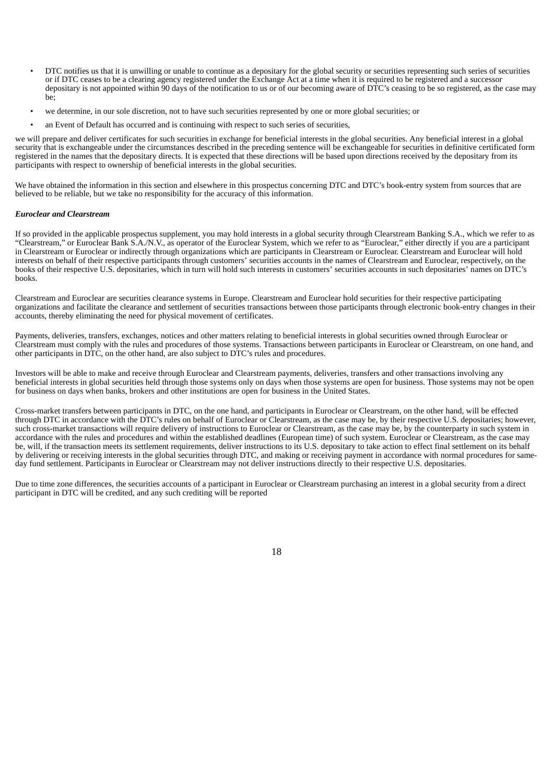- DTC notifies us that it is unwilling or unable to continue as a depositary for the global security or securities representing such series of securities or if DTC ceases to be a clearing agency registered under the Exchange Act at a time when it is required to be registered and a successor depositary is not appointed within 90 days of the notification to us or of our becoming aware of  $\overline{DTC}$ 's ceasing to be so registered, as the case may be;
- we determine, in our sole discretion, not to have such securities represented by one or more global securities; or
- an Event of Default has occurred and is continuing with respect to such series of securities,

we will prepare and deliver certificates for such securities in exchange for beneficial interests in the global securities. Any beneficial interest in a global security that is exchangeable under the circumstances described in the preceding sentence will be exchangeable for securities in definitive certificated form registered in the names that the depositary directs. It is expected that these directions will be based upon directions received by the depositary from its participants with respect to ownership of beneficial interests in the global securities.

We have obtained the information in this section and elsewhere in this prospectus concerning DTC and DTC's book-entry system from sources that are believed to be reliable, but we take no responsibility for the accuracy of this information.

# *Euroclear and Clearstream*

If so provided in the applicable prospectus supplement, you may hold interests in a global security through Clearstream Banking S.A., which we refer to as "Clearstream," or Euroclear Bank S.A./N.V., as operator of the Euroclear System, which we refer to as "Euroclear," either directly if you are a participant in Clearstream or Euroclear or indirectly through organizations which are participants in Clearstream or Euroclear. Clearstream and Euroclear will hold interests on behalf of their respective participants through customers' securities accounts in the names of Clearstream and Euroclear, respectively, on the books of their respective U.S. depositaries, which in turn will hold such interests in customers' securities accounts in such depositaries' names on DTC's books.

Clearstream and Euroclear are securities clearance systems in Europe. Clearstream and Euroclear hold securities for their respective participating organizations and facilitate the clearance and settlement of securities transactions between those participants through electronic book-entry changes in their accounts, thereby eliminating the need for physical movement of certificates.

Payments, deliveries, transfers, exchanges, notices and other matters relating to beneficial interests in global securities owned through Euroclear or Clearstream must comply with the rules and procedures of those systems. Transactions between participants in Euroclear or Clearstream, on one hand, and other participants in DTC, on the other hand, are also subject to DTC's rules and procedures.

Investors will be able to make and receive through Euroclear and Clearstream payments, deliveries, transfers and other transactions involving any beneficial interests in global securities held through those systems only on days when those systems are open for business. Those systems may not be open for business on days when banks, brokers and other institutions are open for business in the United States.

Cross-market transfers between participants in DTC, on the one hand, and participants in Euroclear or Clearstream, on the other hand, will be effected through DTC in accordance with the DTC's rules on behalf of Euroclear or Clearstream, as the case may be, by their respective U.S. depositaries; however, such cross-market transactions will require delivery of instructions to Euroclear or Clearstream, as the case may be, by the counterparty in such system in accordance with the rules and procedures and within the established deadlines (European time) of such system. Euroclear or Clearstream, as the case may be, will, if the transaction meets its settlement requirements, deliver instructions to its U.S. depositary to take action to effect final settlement on its behalf by delivering or receiving interests in the global securities through DTC, and making or receiving payment in accordance with normal procedures for sameday fund settlement. Participants in Euroclear or Clearstream may not deliver instructions directly to their respective U.S. depositaries.

Due to time zone differences, the securities accounts of a participant in Euroclear or Clearstream purchasing an interest in a global security from a direct participant in DTC will be credited, and any such crediting will be reported

18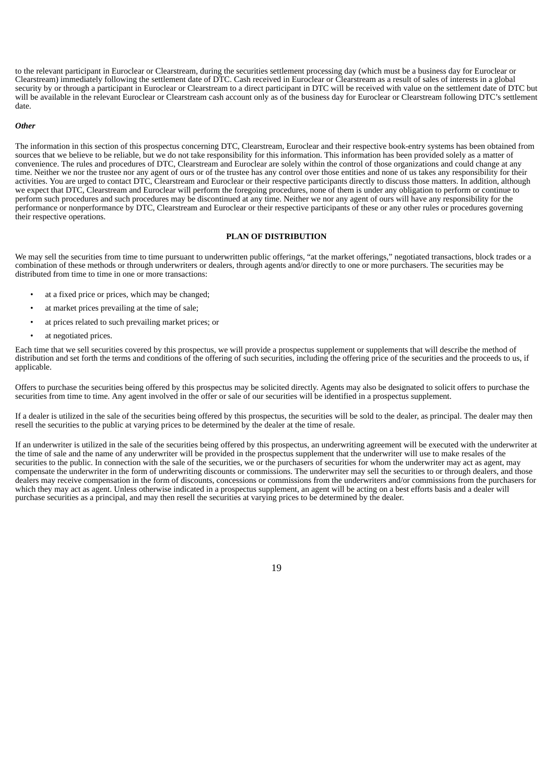to the relevant participant in Euroclear or Clearstream, during the securities settlement processing day (which must be a business day for Euroclear or Clearstream) immediately following the settlement date of DTC. Cash received in Euroclear or Clearstream as a result of sales of interests in a global security by or through a participant in Euroclear or Clearstream to a direct participant in DTC will be received with value on the settlement date of DTC but will be available in the relevant Euroclear or Clearstream cash account only as of the business day for Euroclear or Clearstream following DTC's settlement date.

### *Other*

The information in this section of this prospectus concerning DTC, Clearstream, Euroclear and their respective book-entry systems has been obtained from sources that we believe to be reliable, but we do not take responsibility for this information. This information has been provided solely as a matter of convenience. The rules and procedures of DTC, Clearstream and Euroclear are solely within the control of those organizations and could change at any time. Neither we nor the trustee nor any agent of ours or of the trustee has any control over those entities and none of us takes any responsibility for their activities. You are urged to contact DTC, Clearstream and Euroclear or their respective participants directly to discuss those matters. In addition, although we expect that DTC, Clearstream and Euroclear will perform the foregoing procedures, none of them is under any obligation to perform or continue to perform such procedures and such procedures may be discontinued at any time. Neither we nor any agent of ours will have any responsibility for the performance or nonperformance by DTC, Clearstream and Euroclear or their respective participants of these or any other rules or procedures governing their respective operations.

## **PLAN OF DISTRIBUTION**

<span id="page-33-0"></span>We may sell the securities from time to time pursuant to underwritten public offerings, "at the market offerings," negotiated transactions, block trades or a combination of these methods or through underwriters or dealers, through agents and/or directly to one or more purchasers. The securities may be distributed from time to time in one or more transactions:

- at a fixed price or prices, which may be changed;
- at market prices prevailing at the time of sale;
- at prices related to such prevailing market prices; or
- at negotiated prices.

Each time that we sell securities covered by this prospectus, we will provide a prospectus supplement or supplements that will describe the method of distribution and set forth the terms and conditions of the offering of such securities, including the offering price of the securities and the proceeds to us, if applicable.

Offers to purchase the securities being offered by this prospectus may be solicited directly. Agents may also be designated to solicit offers to purchase the securities from time to time. Any agent involved in the offer or sale of our securities will be identified in a prospectus supplement.

If a dealer is utilized in the sale of the securities being offered by this prospectus, the securities will be sold to the dealer, as principal. The dealer may then resell the securities to the public at varying prices to be determined by the dealer at the time of resale.

If an underwriter is utilized in the sale of the securities being offered by this prospectus, an underwriting agreement will be executed with the underwriter at the time of sale and the name of any underwriter will be provided in the prospectus supplement that the underwriter will use to make resales of the securities to the public. In connection with the sale of the securities, we or the purchasers of securities for whom the underwriter may act as agent, may compensate the underwriter in the form of underwriting discounts or commissions. The underwriter may sell the securities to or through dealers, and those dealers may receive compensation in the form of discounts, concessions or commissions from the underwriters and/or commissions from the purchasers for which they may act as agent. Unless otherwise indicated in a prospectus supplement, an agent will be acting on a best efforts basis and a dealer will purchase securities as a principal, and may then resell the securities at varying prices to be determined by the dealer.

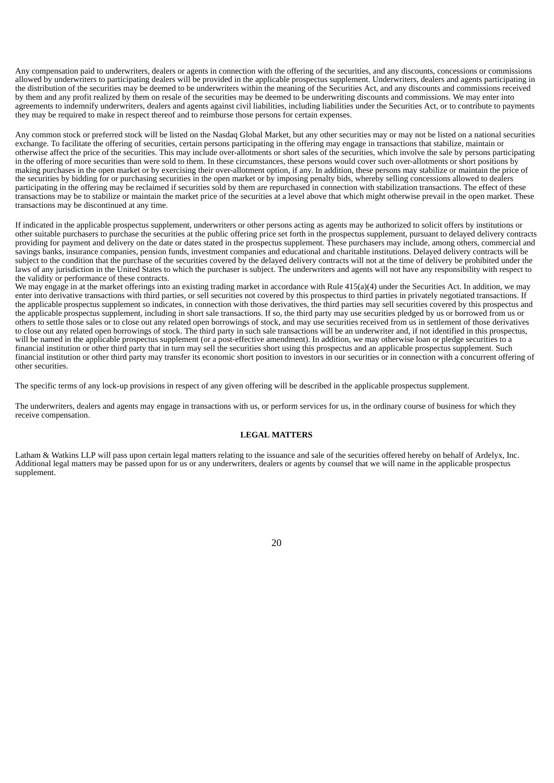Any compensation paid to underwriters, dealers or agents in connection with the offering of the securities, and any discounts, concessions or commissions allowed by underwriters to participating dealers will be provided in the applicable prospectus supplement. Underwriters, dealers and agents participating in the distribution of the securities may be deemed to be underwriters within the meaning of the Securities Act, and any discounts and commissions received by them and any profit realized by them on resale of the securities may be deemed to be underwriting discounts and commissions. We may enter into agreements to indemnify underwriters, dealers and agents against civil liabilities, including liabilities under the Securities Act, or to contribute to payments they may be required to make in respect thereof and to reimburse those persons for certain expenses.

Any common stock or preferred stock will be listed on the Nasdaq Global Market, but any other securities may or may not be listed on a national securities exchange. To facilitate the offering of securities, certain persons participating in the offering may engage in transactions that stabilize, maintain or otherwise affect the price of the securities. This may include over-allotments or short sales of the securities, which involve the sale by persons participating in the offering of more securities than were sold to them. In these circumstances, these persons would cover such over-allotments or short positions by making purchases in the open market or by exercising their over-allotment option, if any. In addition, these persons may stabilize or maintain the price of the securities by bidding for or purchasing securities in the open market or by imposing penalty bids, whereby selling concessions allowed to dealers participating in the offering may be reclaimed if securities sold by them are repurchased in connection with stabilization transactions. The effect of these transactions may be to stabilize or maintain the market price of the securities at a level above that which might otherwise prevail in the open market. These transactions may be discontinued at any time.

If indicated in the applicable prospectus supplement, underwriters or other persons acting as agents may be authorized to solicit offers by institutions or other suitable purchasers to purchase the securities at the public offering price set forth in the prospectus supplement, pursuant to delayed delivery contracts providing for payment and delivery on the date or dates stated in the prospectus supplement. These purchasers may include, among others, commercial and savings banks, insurance companies, pension funds, investment companies and educational and charitable institutions. Delayed delivery contracts will be subject to the condition that the purchase of the securities covered by the delayed delivery contracts will not at the time of delivery be prohibited under the laws of any jurisdiction in the United States to which the purchaser is subject. The underwriters and agents will not have any responsibility with respect to the validity or performance of these contracts.

We may engage in at the market offerings into an existing trading market in accordance with Rule 415(a)(4) under the Securities Act. In addition, we may enter into derivative transactions with third parties, or sell securities not covered by this prospectus to third parties in privately negotiated transactions. If the applicable prospectus supplement so indicates, in connection with those derivatives, the third parties may sell securities covered by this prospectus and the applicable prospectus supplement, including in short sale transactions. If so, the third party may use securities pledged by us or borrowed from us or others to settle those sales or to close out any related open borrowings of stock, and may use securities received from us in settlement of those derivatives to close out any related open borrowings of stock. The third party in such sale transactions will be an underwriter and, if not identified in this prospectus, will be named in the applicable prospectus supplement (or a post-effective amendment). In addition, we may otherwise loan or pledge securities to a financial institution or other third party that in turn may sell the securities short using this prospectus and an applicable prospectus supplement. Such financial institution or other third party may transfer its economic short position to investors in our securities or in connection with a concurrent offering of other securities.

The specific terms of any lock-up provisions in respect of any given offering will be described in the applicable prospectus supplement.

The underwriters, dealers and agents may engage in transactions with us, or perform services for us, in the ordinary course of business for which they receive compensation.

## **LEGAL MATTERS**

<span id="page-34-1"></span><span id="page-34-0"></span>Latham & Watkins LLP will pass upon certain legal matters relating to the issuance and sale of the securities offered hereby on behalf of Ardelyx, Inc. Additional legal matters may be passed upon for us or any underwriters, dealers or agents by counsel that we will name in the applicable prospectus supplement.